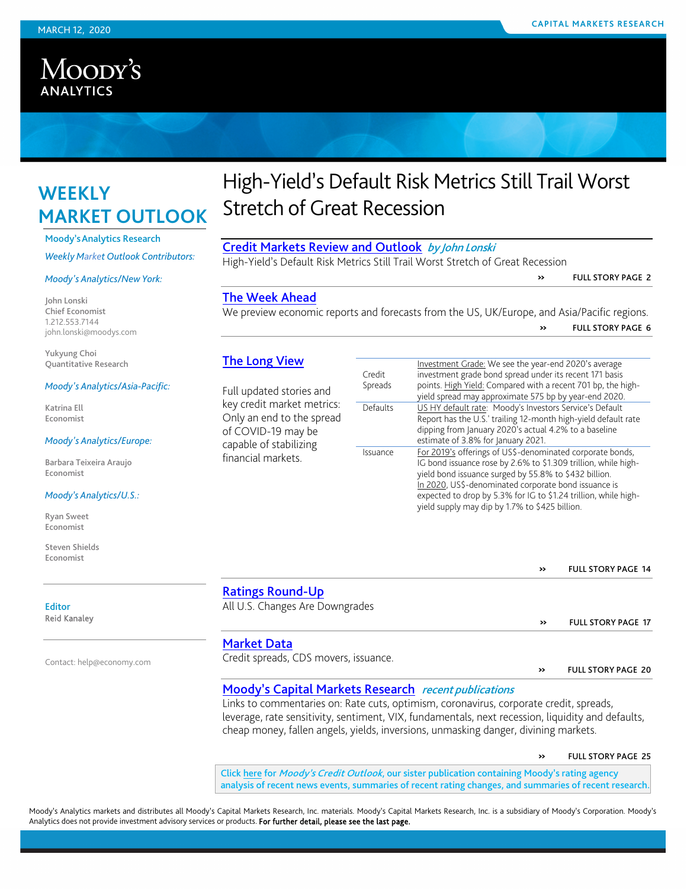## Moody's **ANALYTICS**

## **WEEKLY MARKET OUTLOOK**

Moody'sAnalytics Research

*Weekly Market Outlook Contributors:*

#### *Moody's Analytics/New York:*

John Lonski Chief Economist 1.212.553.7144 john.lonski@moodys.com

Yukyung Choi Quantitative Research

#### *Moody's Analytics/Asia-Pacific:*

Katrina Ell Economist

#### *Moody's Analytics/Europe:*

Barbara Teixeira Araujo Economist

#### *Moody's Analytics/U.S.:*

Ryan Sweet Economist

Steven Shields Economist

## High-Yield's Default Risk Metrics Still Trail Worst Stretch of Great Recession

### [Credit Markets Review and Outlook](#page-0-0) by John Lonski

High-Yield's Default Risk Metrics Still Trail Worst Stretch of Great Recession

» FULL STORY PAGE 2

### [The Week Ahead](#page-5-0)

We preview economic reports and forecasts from the US, UK/Europe, and Asia/Pacific regions. » FULL STORY PAGE <sup>6</sup>

### [The Long View](#page-13-0)

Full updated stories and key credit market metrics: Only an end to the spread of COVID-19 may be capable of stabilizing financial markets.

| Credit<br>Spreads | Investment Grade: We see the year-end 2020's average<br>investment grade bond spread under its recent 171 basis<br>points. High Yield: Compared with a recent 701 bp, the high-<br>yield spread may approximate 575 bp by year-end 2020.                                                                                                                          |
|-------------------|-------------------------------------------------------------------------------------------------------------------------------------------------------------------------------------------------------------------------------------------------------------------------------------------------------------------------------------------------------------------|
| Defaults          | US HY default rate: Moody's Investors Service's Default<br>Report has the U.S.' trailing 12-month high-yield default rate<br>dipping from January 2020's actual 4.2% to a baseline<br>estimate of 3.8% for January 2021.                                                                                                                                          |
| Issuance          | For 2019's offerings of US\$-denominated corporate bonds,<br>IG bond issuance rose by 2.6% to \$1.309 trillion, while high-<br>yield bond issuance surged by 55.8% to \$432 billion.<br>In 2020, US\$-denominated corporate bond issuance is<br>expected to drop by 5.3% for IG to \$1.24 trillion, while high-<br>yield supply may dip by 1.7% to \$425 billion. |

| >> | <b>FULL STORY PAGE 14</b> |  |
|----|---------------------------|--|
|    |                           |  |

### [Ratings Round-Up](#page-16-0)

| All U.S. Changes Are Downgrades |  |
|---------------------------------|--|
|---------------------------------|--|

#### [Market Data](#page-19-0)

Credit spreads, CDS movers, issuance. <br> **EXECUTE:** WE SERVING THE STORY PAGE 20

» FULL STORY PAGE 17

### [Moody's Capital Markets Research](#page-24-0) recent publications

Links to commentaries on: Rate cuts, optimism, coronavirus, corporate credit, spreads, leverage, rate sensitivity, sentiment, VIX, fundamentals, next recession, liquidity and defaults, cheap money, fallen angels, yields, inversions, unmasking danger, divining markets.

» FULL STORY PAGE <sup>25</sup>

<span id="page-0-0"></span>Click [here](http://www.moodys.com/wco) for Moody's Credit Outlook, our sister publication containing Moody's rating agency analysis of recent news events, summaries of recent rating changes, and summaries of recent research.

Moody's Analytics markets and distributes all Moody's Capital Markets Research, Inc. materials. Moody's Capital Markets Research, Inc. is a subsidiary of Moody's Corporation. Moody's Analytics does not provide investment advisory services or products. For further detail, please see the last page.

# Editor

Reid Kanaley

Contact[: help@economy.com](mailto:help@economy.com)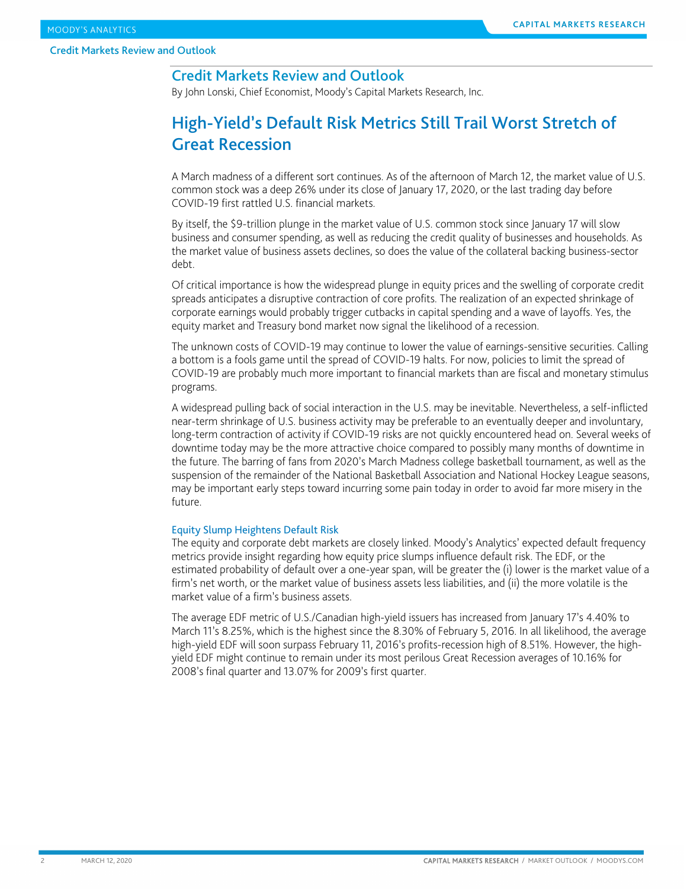### Credit Markets Review and Outlook

By John Lonski, Chief Economist, Moody's Capital Markets Research, Inc.

### High-Yield's Default Risk Metrics Still Trail Worst Stretch of Great Recession

A March madness of a different sort continues. As of the afternoon of March 12, the market value of U.S. common stock was a deep 26% under its close of January 17, 2020, or the last trading day before COVID-19 first rattled U.S. financial markets.

By itself, the \$9-trillion plunge in the market value of U.S. common stock since January 17 will slow business and consumer spending, as well as reducing the credit quality of businesses and households. As the market value of business assets declines, so does the value of the collateral backing business-sector debt.

Of critical importance is how the widespread plunge in equity prices and the swelling of corporate credit spreads anticipates a disruptive contraction of core profits. The realization of an expected shrinkage of corporate earnings would probably trigger cutbacks in capital spending and a wave of layoffs. Yes, the equity market and Treasury bond market now signal the likelihood of a recession.

The unknown costs of COVID-19 may continue to lower the value of earnings-sensitive securities. Calling a bottom is a fools game until the spread of COVID-19 halts. For now, policies to limit the spread of COVID-19 are probably much more important to financial markets than are fiscal and monetary stimulus programs.

A widespread pulling back of social interaction in the U.S. may be inevitable. Nevertheless, a self-inflicted near-term shrinkage of U.S. business activity may be preferable to an eventually deeper and involuntary, long-term contraction of activity if COVID-19 risks are not quickly encountered head on. Several weeks of downtime today may be the more attractive choice compared to possibly many months of downtime in the future. The barring of fans from 2020's March Madness college basketball tournament, as well as the suspension of the remainder of the National Basketball Association and National Hockey League seasons, may be important early steps toward incurring some pain today in order to avoid far more misery in the future.

#### Equity Slump Heightens Default Risk

The equity and corporate debt markets are closely linked. Moody's Analytics' expected default frequency metrics provide insight regarding how equity price slumps influence default risk. The EDF, or the estimated probability of default over a one-year span, will be greater the (i) lower is the market value of a firm's net worth, or the market value of business assets less liabilities, and (ii) the more volatile is the market value of a firm's business assets.

The average EDF metric of U.S./Canadian high-yield issuers has increased from January 17's 4.40% to March 11's 8.25%, which is the highest since the 8.30% of February 5, 2016. In all likelihood, the average high-yield EDF will soon surpass February 11, 2016's profits-recession high of 8.51%. However, the highyield EDF might continue to remain under its most perilous Great Recession averages of 10.16% for 2008's final quarter and 13.07% for 2009's first quarter.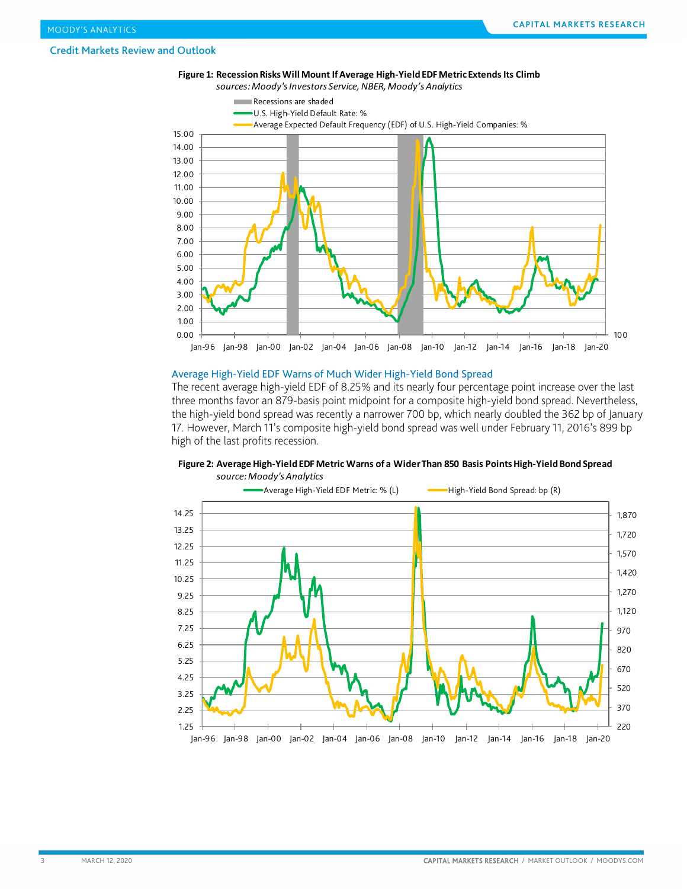

#### Average High-Yield EDF Warns of Much Wider High-Yield Bond Spread

The recent average high-yield EDF of 8.25% and its nearly four percentage point increase over the last three months favor an 879-basis point midpoint for a composite high-yield bond spread. Nevertheless, the high-yield bond spread was recently a narrower 700 bp, which nearly doubled the 362 bp of January 17. However, March 11's composite high-yield bond spread was well under February 11, 2016's 899 bp high of the last profits recession.



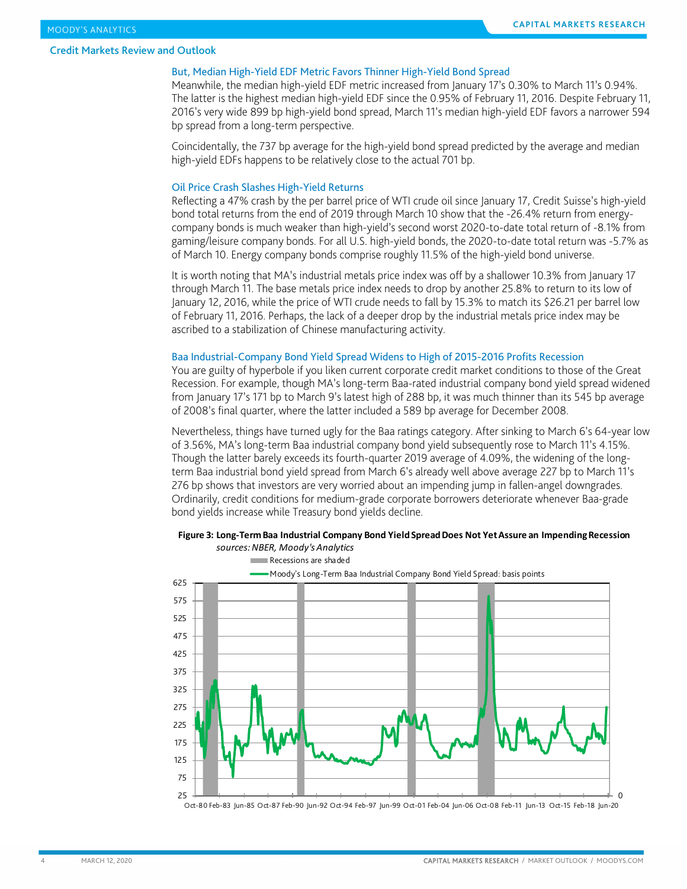#### But, Median High-Yield EDF Metric Favors Thinner High-Yield Bond Spread

Meanwhile, the median high-yield EDF metric increased from January 17's 0.30% to March 11's 0.94%. The latter is the highest median high-yield EDF since the 0.95% of February 11, 2016. Despite February 11, 2016's very wide 899 bp high-yield bond spread, March 11's median high-yield EDF favors a narrower 594 bp spread from a long-term perspective.

Coincidentally, the 737 bp average for the high-yield bond spread predicted by the average and median high-yield EDFs happens to be relatively close to the actual 701 bp.

#### Oil Price Crash Slashes High-Yield Returns

Reflecting a 47% crash by the per barrel price of WTI crude oil since January 17, Credit Suisse's high-yield bond total returns from the end of 2019 through March 10 show that the -26.4% return from energycompany bonds is much weaker than high-yield's second worst 2020-to-date total return of -8.1% from gaming/leisure company bonds. For all U.S. high-yield bonds, the 2020-to-date total return was -5.7% as of March 10. Energy company bonds comprise roughly 11.5% of the high-yield bond universe.

It is worth noting that MA's industrial metals price index was off by a shallower 10.3% from January 17 through March 11. The base metals price index needs to drop by another 25.8% to return to its low of January 12, 2016, while the price of WTI crude needs to fall by 15.3% to match its \$26.21 per barrel low of February 11, 2016. Perhaps, the lack of a deeper drop by the industrial metals price index may be ascribed to a stabilization of Chinese manufacturing activity.

#### Baa Industrial-Company Bond Yield Spread Widens to High of 2015-2016 Profits Recession

You are guilty of hyperbole if you liken current corporate credit market conditions to those of the Great Recession. For example, though MA's long-term Baa-rated industrial company bond yield spread widened from January 17's 171 bp to March 9's latest high of 288 bp, it was much thinner than its 545 bp average of 2008's final quarter, where the latter included a 589 bp average for December 2008.

Nevertheless, things have turned ugly for the Baa ratings category. After sinking to March 6's 64-year low of 3.56%, MA's long-term Baa industrial company bond yield subsequently rose to March 11's 4.15%. Though the latter barely exceeds its fourth-quarter 2019 average of 4.09%, the widening of the longterm Baa industrial bond yield spread from March 6's already well above average 227 bp to March 11's 276 bp shows that investors are very worried about an impending jump in fallen-angel downgrades. Ordinarily, credit conditions for medium-grade corporate borrowers deteriorate whenever Baa-grade bond yields increase while Treasury bond yields decline.



#### **Figure 3: Long-Term Baa Industrial Company Bond Yield Spread Does Not Yet Assure an Impending Recession** *sources: NBER, Moody's Analytics*

Oct-80 Feb-83 Jun-85 Oct-87 Feb-90 Jun-92 Oct-94 Feb-97 Jun-99 Oct-01 Feb-04 Jun-06 Oct-08 Feb-11 Jun-13 Oct-15 Feb-18 Jun-20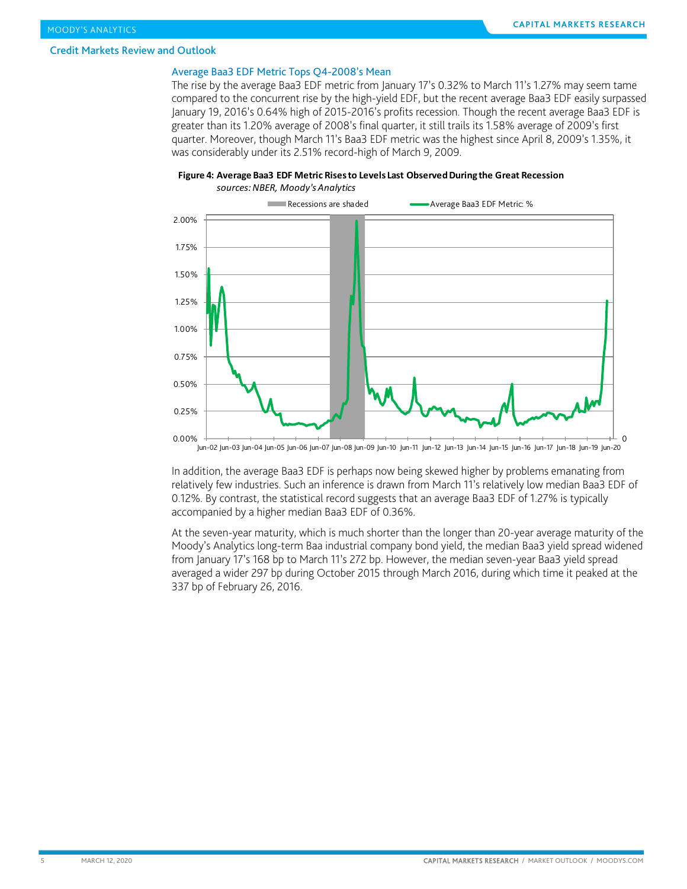#### Average Baa3 EDF Metric Tops Q4-2008's Mean

The rise by the average Baa3 EDF metric from January 17's 0.32% to March 11's 1.27% may seem tame compared to the concurrent rise by the high-yield EDF, but the recent average Baa3 EDF easily surpassed January 19, 2016's 0.64% high of 2015-2016's profits recession. Though the recent average Baa3 EDF is greater than its 1.20% average of 2008's final quarter, it still trails its 1.58% average of 2009's first quarter. Moreover, though March 11's Baa3 EDF metric was the highest since April 8, 2009's 1.35%, it was considerably under its 2.51% record-high of March 9, 2009.





Jun-02 Jun-03 Jun-04 Jun-05 Jun-06 Jun-07 Jun-08 Jun-09 Jun-10 Jun-11 Jun-12 Jun-13 Jun-14 Jun-15 Jun-16 Jun-17 Jun-18 Jun-19 Jun-20

In addition, the average Baa3 EDF is perhaps now being skewed higher by problems emanating from relatively few industries. Such an inference is drawn from March 11's relatively low median Baa3 EDF of 0.12%. By contrast, the statistical record suggests that an average Baa3 EDF of 1.27% is typically accompanied by a higher median Baa3 EDF of 0.36%.

At the seven-year maturity, which is much shorter than the longer than 20-year average maturity of the Moody's Analytics long-term Baa industrial company bond yield, the median Baa3 yield spread widened from January 17's 168 bp to March 11's 272 bp. However, the median seven-year Baa3 yield spread averaged a wider 297 bp during October 2015 through March 2016, during which time it peaked at the 337 bp of February 26, 2016.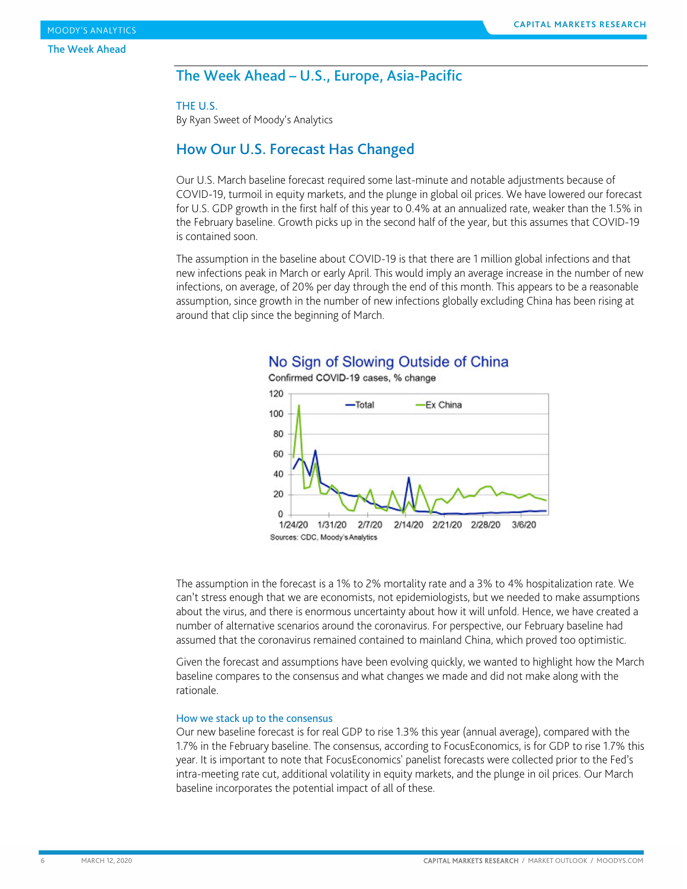### <span id="page-5-0"></span>The Week Ahead – U.S., Europe, Asia-Pacific

#### THE U.S.

By Ryan Sweet of Moody's Analytics

### How Our U.S. Forecast Has Changed

Our U.S. March baseline forecast required some last-minute and notable adjustments because of COVID-19, turmoil in equity markets, and the plunge in global oil prices. We have lowered our forecast for U.S. GDP growth in the first half of this year to 0.4% at an annualized rate, weaker than the 1.5% in the February baseline. Growth picks up in the second half of the year, but this assumes that COVID-19 is contained soon.

The assumption in the baseline about COVID-19 is that there are 1 million global infections and that new infections peak in March or early April. This would imply an average increase in the number of new infections, on average, of 20% per day through the end of this month. This appears to be a reasonable assumption, since growth in the number of new infections globally excluding China has been rising at around that clip since the beginning of March.



### No Sign of Slowing Outside of China

The assumption in the forecast is a 1% to 2% mortality rate and a 3% to 4% hospitalization rate. We can't stress enough that we are economists, not epidemiologists, but we needed to make assumptions about the virus, and there is enormous uncertainty about how it will unfold. Hence, we have created a number of alternative scenarios around the coronavirus. For perspective, our February baseline had assumed that the coronavirus remained contained to mainland China, which proved too optimistic.

Given the forecast and assumptions have been evolving quickly, we wanted to highlight how the March baseline compares to the consensus and what changes we made and did not make along with the rationale.

#### How we stack up to the consensus

Our new baseline forecast is for real GDP to rise 1.3% this year (annual average), compared with the 1.7% in the February baseline. The consensus, according to FocusEconomics, is for GDP to rise 1.7% this year. It is important to note that FocusEconomics' panelist forecasts were collected prior to the Fed's intra-meeting rate cut, additional volatility in equity markets, and the plunge in oil prices. Our March baseline incorporates the potential impact of all of these.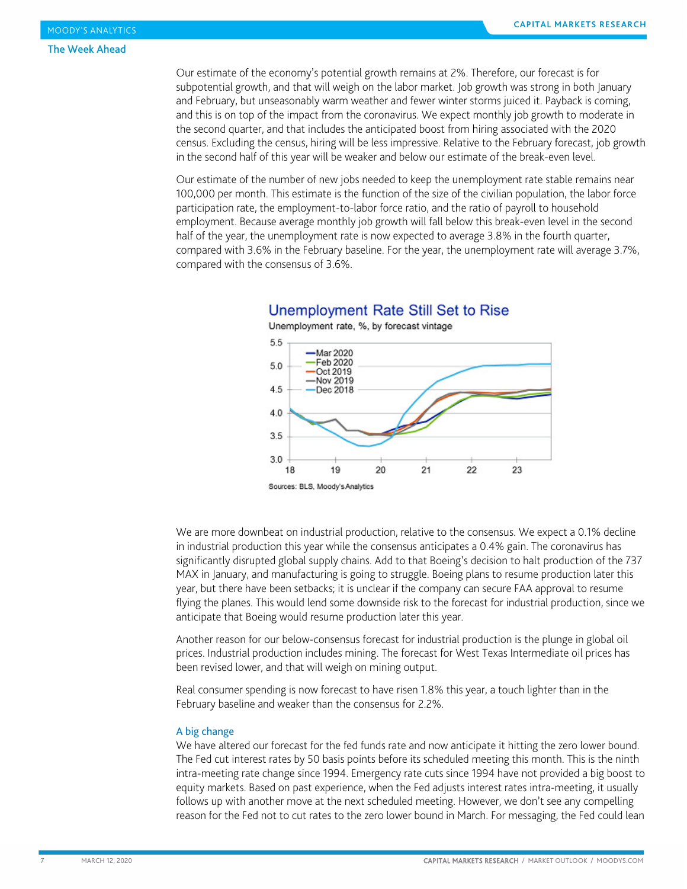Our estimate of the economy's potential growth remains at 2%. Therefore, our forecast is for subpotential growth, and that will weigh on the labor market. Job growth was strong in both January and February, but unseasonably warm weather and fewer winter storms juiced it. Payback is coming, and this is on top of the impact from the coronavirus. We expect monthly job growth to moderate in the second quarter, and that includes the anticipated boost from hiring associated with the 2020 census. Excluding the census, hiring will be less impressive. Relative to the February forecast, job growth in the second half of this year will be weaker and below our estimate of the break-even level.

Our estimate of the number of new jobs needed to keep the unemployment rate stable remains near 100,000 per month. This estimate is the function of the size of the civilian population, the labor force participation rate, the employment-to-labor force ratio, and the ratio of payroll to household employment. Because average monthly job growth will fall below this break-even level in the second half of the year, the unemployment rate is now expected to average 3.8% in the fourth quarter, compared with 3.6% in the February baseline. For the year, the unemployment rate will average 3.7%, compared with the consensus of 3.6%.



### Unemployment Rate Still Set to Rise

We are more downbeat on industrial production, relative to the consensus. We expect a 0.1% decline in industrial production this year while the consensus anticipates a 0.4% gain. The coronavirus has significantly disrupted global supply chains. Add to that Boeing's decision to halt production of the 737 MAX in January, and manufacturing is going to struggle. Boeing plans to resume production later this year, but there have been setbacks; it is unclear if the company can secure FAA approval to resume flying the planes. This would lend some downside risk to the forecast for industrial production, since we anticipate that Boeing would resume production later this year.

Another reason for our below-consensus forecast for industrial production is the plunge in global oil prices. Industrial production includes mining. The forecast for West Texas Intermediate oil prices has been revised lower, and that will weigh on mining output.

Real consumer spending is now forecast to have risen 1.8% this year, a touch lighter than in the February baseline and weaker than the consensus for 2.2%.

#### A big change

We have altered our forecast for the fed funds rate and now anticipate it hitting the zero lower bound. The Fed cut interest rates by 50 basis points before its scheduled meeting this month. This is the ninth intra-meeting rate change since 1994. Emergency rate cuts since 1994 have not provided a big boost to equity markets. Based on past experience, when the Fed adjusts interest rates intra-meeting, it usually follows up with another move at the next scheduled meeting. However, we don't see any compelling reason for the Fed not to cut rates to the zero lower bound in March. For messaging, the Fed could lean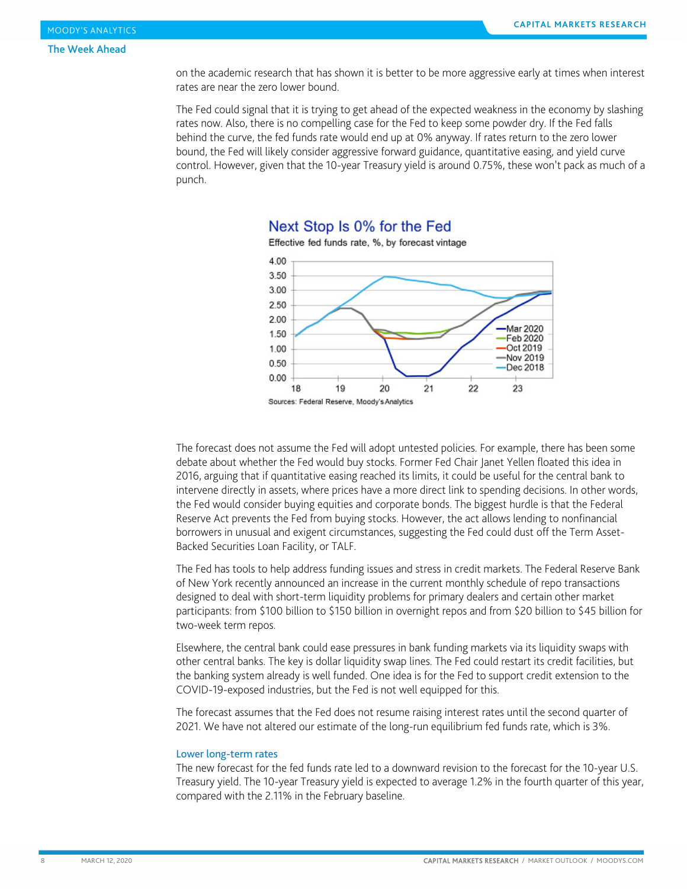on the academic research that has shown it is better to be more aggressive early at times when interest rates are near the zero lower bound.

The Fed could signal that it is trying to get ahead of the expected weakness in the economy by slashing rates now. Also, there is no compelling case for the Fed to keep some powder dry. If the Fed falls behind the curve, the fed funds rate would end up at 0% anyway. If rates return to the zero lower bound, the Fed will likely consider aggressive forward guidance, quantitative easing, and yield curve control. However, given that the 10-year Treasury yield is around 0.75%, these won't pack as much of a punch.



### Next Stop Is 0% for the Fed

The forecast does not assume the Fed will adopt untested policies. For example, there has been some debate about whether the Fed would buy stocks. Former Fed Chair Janet Yellen floated this idea in 2016, arguing that if quantitative easing reached its limits, it could be useful for the central bank to intervene directly in assets, where prices have a more direct link to spending decisions. In other words, the Fed would consider buying equities and corporate bonds. The biggest hurdle is that the Federal Reserve Act prevents the Fed from buying stocks. However, the act allows lending to nonfinancial borrowers in unusual and exigent circumstances, suggesting the Fed could dust off the Term Asset-Backed Securities Loan Facility, or TALF.

The Fed has tools to help address funding issues and stress in credit markets. The Federal Reserve Bank of New York recently announced an increase in the current monthly schedule of repo transactions designed to deal with short-term liquidity problems for primary dealers and certain other market participants: from \$100 billion to \$150 billion in overnight repos and from \$20 billion to \$45 billion for two-week term repos.

Elsewhere, the central bank could ease pressures in bank funding markets via its liquidity swaps with other central banks. The key is dollar liquidity swap lines. The Fed could restart its credit facilities, but the banking system already is well funded. One idea is for the Fed to support credit extension to the COVID-19-exposed industries, but the Fed is not well equipped for this.

The forecast assumes that the Fed does not resume raising interest rates until the second quarter of 2021. We have not altered our estimate of the long-run equilibrium fed funds rate, which is 3%.

#### Lower long-term rates

The new forecast for the fed funds rate led to a downward revision to the forecast for the 10-year U.S. Treasury yield. The 10-year Treasury yield is expected to average 1.2% in the fourth quarter of this year, compared with the 2.11% in the February baseline.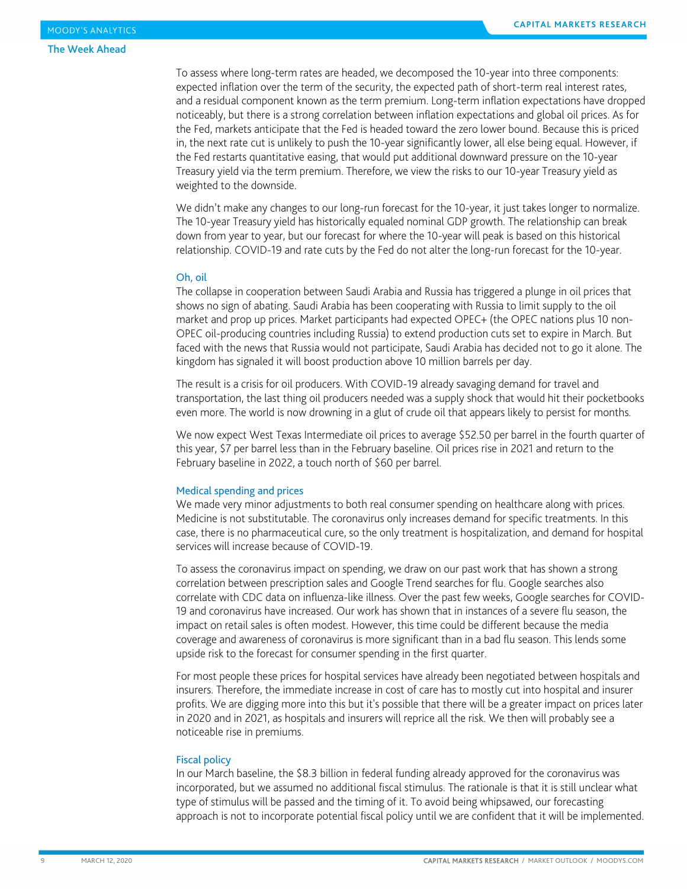To assess where long-term rates are headed, we decomposed the 10-year into three components: expected inflation over the term of the security, the expected path of short-term real interest rates, and a residual component known as the term premium. Long-term inflation expectations have dropped noticeably, but there is a strong correlation between inflation expectations and global oil prices. As for the Fed, markets anticipate that the Fed is headed toward the zero lower bound. Because this is priced in, the next rate cut is unlikely to push the 10-year significantly lower, all else being equal. However, if the Fed restarts quantitative easing, that would put additional downward pressure on the 10-year Treasury yield via the term premium. Therefore, we view the risks to our 10-year Treasury yield as weighted to the downside.

We didn't make any changes to our long-run forecast for the 10-year, it just takes longer to normalize. The 10-year Treasury yield has historically equaled nominal GDP growth. The relationship can break down from year to year, but our forecast for where the 10-year will peak is based on this historical relationship. COVID-19 and rate cuts by the Fed do not alter the long-run forecast for the 10-year.

#### Oh, oil

The collapse in cooperation between Saudi Arabia and Russia has triggered a plunge in oil prices that shows no sign of abating. Saudi Arabia has been cooperating with Russia to limit supply to the oil market and prop up prices. Market participants had expected OPEC+ (the OPEC nations plus 10 non-OPEC oil-producing countries including Russia) to extend production cuts set to expire in March. But faced with the news that Russia would not participate, Saudi Arabia has decided not to go it alone. The kingdom has signaled it will boost production above 10 million barrels per day.

The result is a crisis for oil producers. With COVID-19 already savaging demand for travel and transportation, the last thing oil producers needed was a supply shock that would hit their pocketbooks even more. The world is now drowning in a glut of crude oil that appears likely to persist for months.

We now expect West Texas Intermediate oil prices to average \$52.50 per barrel in the fourth quarter of this year, \$7 per barrel less than in the February baseline. Oil prices rise in 2021 and return to the February baseline in 2022, a touch north of \$60 per barrel.

#### Medical spending and prices

We made very minor adjustments to both real consumer spending on healthcare along with prices. Medicine is not substitutable. The coronavirus only increases demand for specific treatments. In this case, there is no pharmaceutical cure, so the only treatment is hospitalization, and demand for hospital services will increase because of COVID-19.

To assess the coronavirus impact on spending, we draw on our past work that has shown a strong correlation between prescription sales and Google Trend searches for flu. Google searches also correlate with CDC data on influenza-like illness. Over the past few weeks, Google searches for COVID-19 and coronavirus have increased. Our work has shown that in instances of a severe flu season, the impact on retail sales is often modest. However, this time could be different because the media coverage and awareness of coronavirus is more significant than in a bad flu season. This lends some upside risk to the forecast for consumer spending in the first quarter.

For most people these prices for hospital services have already been negotiated between hospitals and insurers. Therefore, the immediate increase in cost of care has to mostly cut into hospital and insurer profits. We are digging more into this but it's possible that there will be a greater impact on prices later in 2020 and in 2021, as hospitals and insurers will reprice all the risk. We then will probably see a noticeable rise in premiums.

#### Fiscal policy

In our March baseline, the \$8.3 billion in federal funding already approved for the coronavirus was incorporated, but we assumed no additional fiscal stimulus. The rationale is that it is still unclear what type of stimulus will be passed and the timing of it. To avoid being whipsawed, our forecasting approach is not to incorporate potential fiscal policy until we are confident that it will be implemented.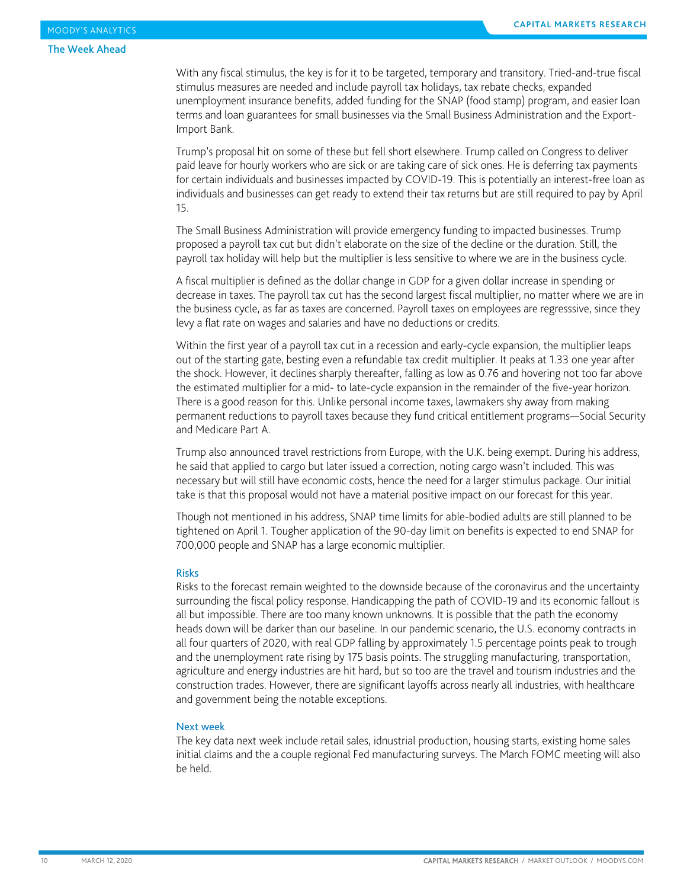#### The Week Ahead

With any fiscal stimulus, the key is for it to be targeted, temporary and transitory. Tried-and-true fiscal stimulus measures are needed and include payroll tax holidays, tax rebate checks, expanded unemployment insurance benefits, added funding for the SNAP (food stamp) program, and easier loan terms and loan guarantees for small businesses via the Small Business Administration and the Export-Import Bank.

Trump's proposal hit on some of these but fell short elsewhere. Trump called on Congress to deliver paid leave for hourly workers who are sick or are taking care of sick ones. He is deferring tax payments for certain individuals and businesses impacted by COVID-19. This is potentially an interest-free loan as individuals and businesses can get ready to extend their tax returns but are still required to pay by April 15.

The Small Business Administration will provide emergency funding to impacted businesses. Trump proposed a payroll tax cut but didn't elaborate on the size of the decline or the duration. Still, the payroll tax holiday will help but the multiplier is less sensitive to where we are in the business cycle.

A fiscal multiplier is defined as the dollar change in GDP for a given dollar increase in spending or decrease in taxes. The payroll tax cut has the second largest fiscal multiplier, no matter where we are in the business cycle, as far as taxes are concerned. Payroll taxes on employees are regresssive, since they levy a flat rate on wages and salaries and have no deductions or credits.

Within the first year of a payroll tax cut in a recession and early-cycle expansion, the multiplier leaps out of the starting gate, besting even a refundable tax credit multiplier. It peaks at 1.33 one year after the shock. However, it declines sharply thereafter, falling as low as 0.76 and hovering not too far above the estimated multiplier for a mid- to late-cycle expansion in the remainder of the five-year horizon. There is a good reason for this. Unlike personal income taxes, lawmakers shy away from making permanent reductions to payroll taxes because they fund critical entitlement programs—Social Security and Medicare Part A.

Trump also announced travel restrictions from Europe, with the U.K. being exempt. During his address, he said that applied to cargo but later issued a correction, noting cargo wasn't included. This was necessary but will still have economic costs, hence the need for a larger stimulus package. Our initial take is that this proposal would not have a material positive impact on our forecast for this year.

Though not mentioned in his address, SNAP time limits for able-bodied adults are still planned to be tightened on April 1. Tougher application of the 90-day limit on benefits is expected to end SNAP for 700,000 people and SNAP has a large economic multiplier.

#### Risks

Risks to the forecast remain weighted to the downside because of the coronavirus and the uncertainty surrounding the fiscal policy response. Handicapping the path of COVID-19 and its economic fallout is all but impossible. There are too many known unknowns. It is possible that the path the economy heads down will be darker than our baseline. In our pandemic scenario, the U.S. economy contracts in all four quarters of 2020, with real GDP falling by approximately 1.5 percentage points peak to trough and the unemployment rate rising by 175 basis points. The struggling manufacturing, transportation, agriculture and energy industries are hit hard, but so too are the travel and tourism industries and the construction trades. However, there are significant layoffs across nearly all industries, with healthcare and government being the notable exceptions.

#### Next week

The key data next week include retail sales, idnustrial production, housing starts, existing home sales initial claims and the a couple regional Fed manufacturing surveys. The March FOMC meeting will also be held.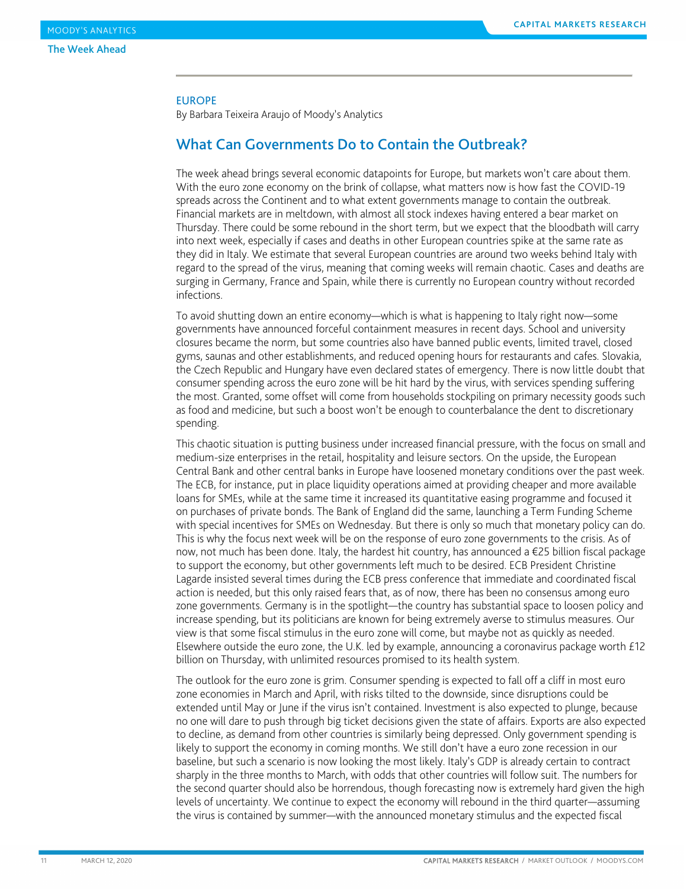#### EUROPE

By Barbara Teixeira Araujo of Moody's Analytics

### What Can Governments Do to Contain the Outbreak?

The week ahead brings several economic datapoints for Europe, but markets won't care about them. With the euro zone economy on the brink of collapse, what matters now is how fast the COVID-19 spreads across the Continent and to what extent governments manage to contain the outbreak. Financial markets are in meltdown, with almost all stock indexes having entered a bear market on Thursday. There could be some rebound in the short term, but we expect that the bloodbath will carry into next week, especially if cases and deaths in other European countries spike at the same rate as they did in Italy. We estimate that several European countries are around two weeks behind Italy with regard to the spread of the virus, meaning that coming weeks will remain chaotic. Cases and deaths are surging in Germany, France and Spain, while there is currently no European country without recorded infections.

To avoid shutting down an entire economy—which is what is happening to Italy right now—some governments have announced forceful containment measures in recent days. School and university closures became the norm, but some countries also have banned public events, limited travel, closed gyms, saunas and other establishments, and reduced opening hours for restaurants and cafes. Slovakia, the Czech Republic and Hungary have even declared states of emergency. There is now little doubt that consumer spending across the euro zone will be hit hard by the virus, with services spending suffering the most. Granted, some offset will come from households stockpiling on primary necessity goods such as food and medicine, but such a boost won't be enough to counterbalance the dent to discretionary spending.

This chaotic situation is putting business under increased financial pressure, with the focus on small and medium-size enterprises in the retail, hospitality and leisure sectors. On the upside, the European Central Bank and other central banks in Europe have loosened monetary conditions over the past week. The ECB, for instance, put in place liquidity operations aimed at providing cheaper and more available loans for SMEs, while at the same time it increased its quantitative easing programme and focused it on purchases of private bonds. The Bank of England did the same, launching a Term Funding Scheme with special incentives for SMEs on Wednesday. But there is only so much that monetary policy can do. This is why the focus next week will be on the response of euro zone governments to the crisis. As of now, not much has been done. Italy, the hardest hit country, has announced a €25 billion fiscal package to support the economy, but other governments left much to be desired. ECB President Christine Lagarde insisted several times during the ECB press conference that immediate and coordinated fiscal action is needed, but this only raised fears that, as of now, there has been no consensus among euro zone governments. Germany is in the spotlight—the country has substantial space to loosen policy and increase spending, but its politicians are known for being extremely averse to stimulus measures. Our view is that some fiscal stimulus in the euro zone will come, but maybe not as quickly as needed. Elsewhere outside the euro zone, the U.K. led by example, announcing a coronavirus package worth £12 billion on Thursday, with unlimited resources promised to its health system.

The outlook for the euro zone is grim. Consumer spending is expected to fall off a cliff in most euro zone economies in March and April, with risks tilted to the downside, since disruptions could be extended until May or June if the virus isn't contained. Investment is also expected to plunge, because no one will dare to push through big ticket decisions given the state of affairs. Exports are also expected to decline, as demand from other countries is similarly being depressed. Only government spending is likely to support the economy in coming months. We still don't have a euro zone recession in our baseline, but such a scenario is now looking the most likely. Italy's GDP is already certain to contract sharply in the three months to March, with odds that other countries will follow suit. The numbers for the second quarter should also be horrendous, though forecasting now is extremely hard given the high levels of uncertainty. We continue to expect the economy will rebound in the third quarter—assuming the virus is contained by summer—with the announced monetary stimulus and the expected fiscal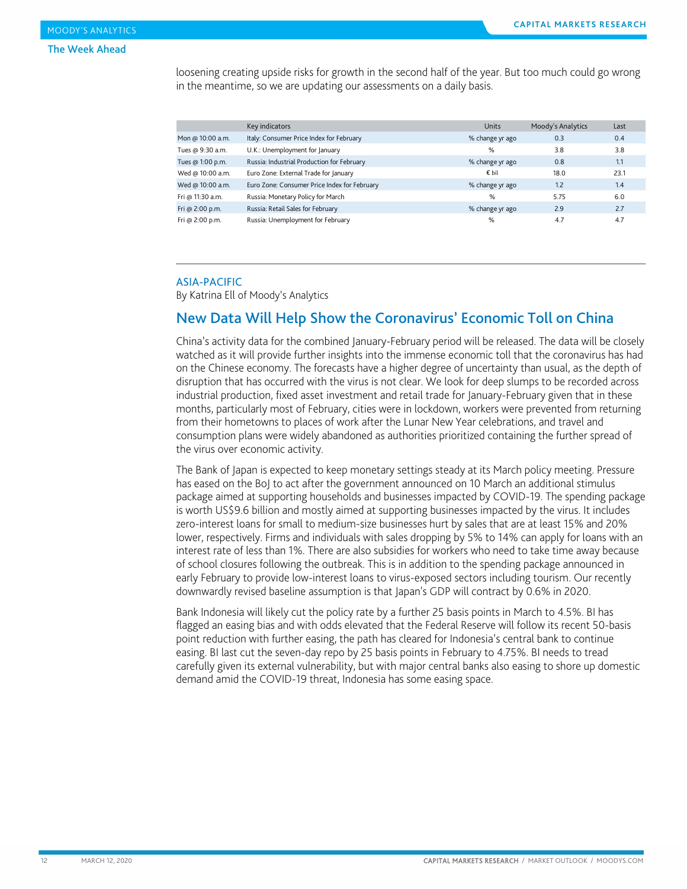loosening creating upside risks for growth in the second half of the year. But too much could go wrong in the meantime, so we are updating our assessments on a daily basis.

|                   | Key indicators                               | <b>Units</b>    | Moody's Analytics | Last |
|-------------------|----------------------------------------------|-----------------|-------------------|------|
| Mon @ 10:00 a.m.  | Italy: Consumer Price Index for February     | % change yr ago | 0.3               | 0.4  |
| Tues @ 9:30 a.m.  | U.K.: Unemployment for January               | $\%$            | 3.8               | 3.8  |
| Tues @ 1:00 p.m.  | Russia: Industrial Production for February   | % change yr ago | 0.8               | 1.1  |
| Wed @ 10:00 a.m.  | Euro Zone: External Trade for January        | € bil           | 18.0              | 23.1 |
| Wed @ 10:00 a.m.  | Euro Zone: Consumer Price Index for February | % change yr ago | 1.2               | 1.4  |
| Fri @ 11:30 a.m.  | Russia: Monetary Policy for March            | %               | 5.75              | 6.0  |
| Fri @ $2:00$ p.m. | Russia: Retail Sales for February            | % change yr ago | 2.9               | 2.7  |
| Fri @ 2:00 p.m.   | Russia: Unemployment for February            | %               | 4.7               | 4.7  |

#### ASIA-PACIFIC

By Katrina Ell of Moody's Analytics

### New Data Will Help Show the Coronavirus' Economic Toll on China

China's activity data for the combined January-February period will be released. The data will be closely watched as it will provide further insights into the immense economic toll that the coronavirus has had on the Chinese economy. The forecasts have a higher degree of uncertainty than usual, as the depth of disruption that has occurred with the virus is not clear. We look for deep slumps to be recorded across industrial production, fixed asset investment and retail trade for January-February given that in these months, particularly most of February, cities were in lockdown, workers were prevented from returning from their hometowns to places of work after the Lunar New Year celebrations, and travel and consumption plans were widely abandoned as authorities prioritized containing the further spread of the virus over economic activity.

The Bank of Japan is expected to keep monetary settings steady at its March policy meeting. Pressure has eased on the BoJ to act after the government announced on 10 March an additional stimulus package aimed at supporting households and businesses impacted by COVID-19. The spending package is worth US\$9.6 billion and mostly aimed at supporting businesses impacted by the virus. It includes zero-interest loans for small to medium-size businesses hurt by sales that are at least 15% and 20% lower, respectively. Firms and individuals with sales dropping by 5% to 14% can apply for loans with an interest rate of less than 1%. There are also subsidies for workers who need to take time away because of school closures following the outbreak. This is in addition to the spending package announced in early February to provide low-interest loans to virus-exposed sectors including tourism. Our recently downwardly revised baseline assumption is that Japan's GDP will contract by 0.6% in 2020.

Bank Indonesia will likely cut the policy rate by a further 25 basis points in March to 4.5%. BI has flagged an easing bias and with odds elevated that the Federal Reserve will follow its recent 50-basis point reduction with further easing, the path has cleared for Indonesia's central bank to continue easing. BI last cut the seven-day repo by 25 basis points in February to 4.75%. BI needs to tread carefully given its external vulnerability, but with major central banks also easing to shore up domestic demand amid the COVID-19 threat, Indonesia has some easing space.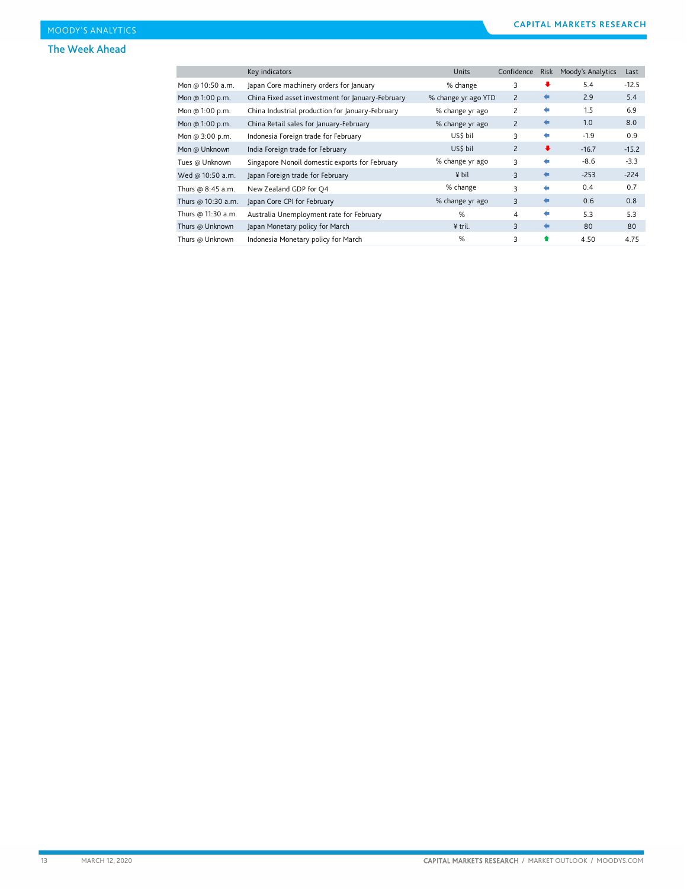#### The Week Ahead

|                    | Key indicators                                    | <b>Units</b>        | Confidence     | Risk                 | Moody's Analytics | Last    |
|--------------------|---------------------------------------------------|---------------------|----------------|----------------------|-------------------|---------|
| Mon @ 10:50 a.m.   | Japan Core machinery orders for January           | % change            | 3              | ₩                    | 5.4               | $-12.5$ |
| Mon @ 1:00 p.m.    | China Fixed asset investment for January-February | % change yr ago YTD | 2              | ⇚                    | 2.9               | 5.4     |
| Mon @ 1:00 p.m.    | China Industrial production for January-February  | % change yr ago     | 2              | ۰                    | 1.5               | 6.9     |
| Mon @ 1:00 p.m.    | China Retail sales for January-February           | % change yr ago     | $\overline{2}$ | €                    | 1.0               | 8.0     |
| Mon @ 3:00 p.m.    | Indonesia Foreign trade for February              | US\$ bil            | 3              | ۰                    | $-1.9$            | 0.9     |
| Mon @ Unknown      | India Foreign trade for February                  | US\$ bil            | $\overline{c}$ | $\ddot{\phantom{1}}$ | $-16.7$           | $-15.2$ |
| Tues @ Unknown     | Singapore Nonoil domestic exports for February    | % change yr ago     | 3              | ۰                    | $-8.6$            | $-3.3$  |
| Wed @ 10:50 a.m.   | Japan Foreign trade for February                  | ¥ bil               | 3              | $\leftarrow$         | $-253$            | $-224$  |
| Thurs @ 8:45 a.m.  | New Zealand GDP for Q4                            | % change            | 3              | ۰                    | 0.4               | 0.7     |
| Thurs @ 10:30 a.m. | Japan Core CPI for February                       | % change yr ago     | 3              | €                    | 0.6               | 0.8     |
| Thurs @ 11:30 a.m. | Australia Unemployment rate for February          | %                   | 4              | ۰                    | 5.3               | 5.3     |
| Thurs @ Unknown    | Japan Monetary policy for March                   | ¥ tril.             | 3              | ۰                    | 80                | 80      |
| Thurs @ Unknown    | Indonesia Monetary policy for March               | %                   | 3              | ♠                    | 4.50              | 4.75    |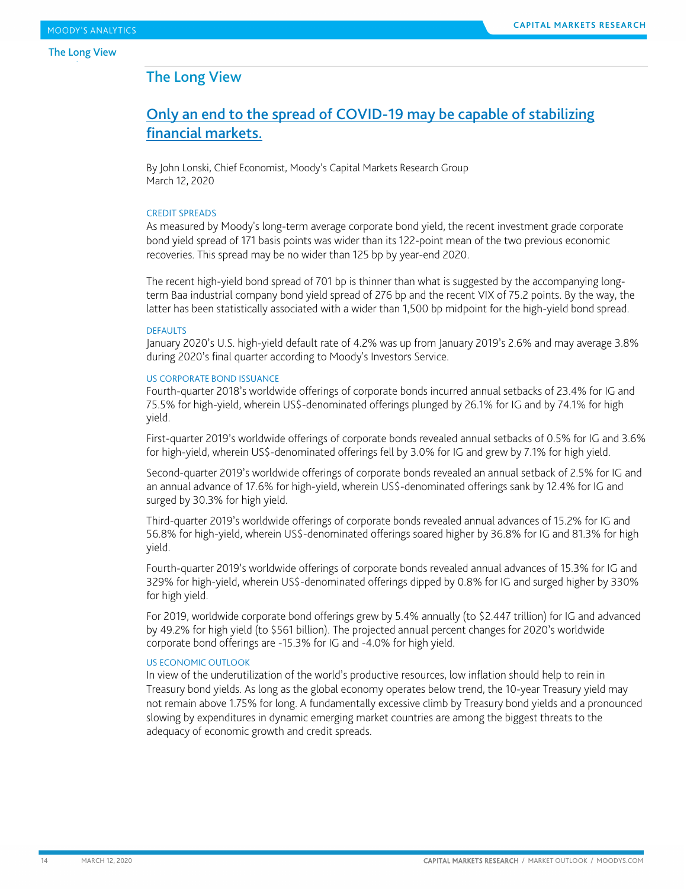### <span id="page-13-0"></span>The Long View

### Only an end to the spread of COVID-19 may be capable of stabilizing financial markets.

By John Lonski, Chief Economist, Moody's Capital Markets Research Group March 12, 2020

#### CREDIT SPREADS

As measured by Moody's long-term average corporate bond yield, the recent investment grade corporate bond yield spread of 171 basis points was wider than its 122-point mean of the two previous economic recoveries. This spread may be no wider than 125 bp by year-end 2020.

The recent high-yield bond spread of 701 bp is thinner than what is suggested by the accompanying longterm Baa industrial company bond yield spread of 276 bp and the recent VIX of 75.2 points. By the way, the latter has been statistically associated with a wider than 1,500 bp midpoint for the high-yield bond spread.

#### DEFAULTS

January 2020's U.S. high-yield default rate of 4.2% was up from January 2019's 2.6% and may average 3.8% during 2020's final quarter according to Moody's Investors Service.

#### US CORPORATE BOND ISSUANCE

Fourth-quarter 2018's worldwide offerings of corporate bonds incurred annual setbacks of 23.4% for IG and 75.5% for high-yield, wherein US\$-denominated offerings plunged by 26.1% for IG and by 74.1% for high yield.

First-quarter 2019's worldwide offerings of corporate bonds revealed annual setbacks of 0.5% for IG and 3.6% for high-yield, wherein US\$-denominated offerings fell by 3.0% for IG and grew by 7.1% for high yield.

Second-quarter 2019's worldwide offerings of corporate bonds revealed an annual setback of 2.5% for IG and an annual advance of 17.6% for high-yield, wherein US\$-denominated offerings sank by 12.4% for IG and surged by 30.3% for high yield.

Third-quarter 2019's worldwide offerings of corporate bonds revealed annual advances of 15.2% for IG and 56.8% for high-yield, wherein US\$-denominated offerings soared higher by 36.8% for IG and 81.3% for high yield.

Fourth-quarter 2019's worldwide offerings of corporate bonds revealed annual advances of 15.3% for IG and 329% for high-yield, wherein US\$-denominated offerings dipped by 0.8% for IG and surged higher by 330% for high yield.

For 2019, worldwide corporate bond offerings grew by 5.4% annually (to \$2.447 trillion) for IG and advanced by 49.2% for high yield (to \$561 billion). The projected annual percent changes for 2020's worldwide corporate bond offerings are -15.3% for IG and -4.0% for high yield.

#### US ECONOMIC OUTLOOK

In view of the underutilization of the world's productive resources, low inflation should help to rein in Treasury bond yields. As long as the global economy operates below trend, the 10-year Treasury yield may not remain above 1.75% for long. A fundamentally excessive climb by Treasury bond yields and a pronounced slowing by expenditures in dynamic emerging market countries are among the biggest threats to the adequacy of economic growth and credit spreads.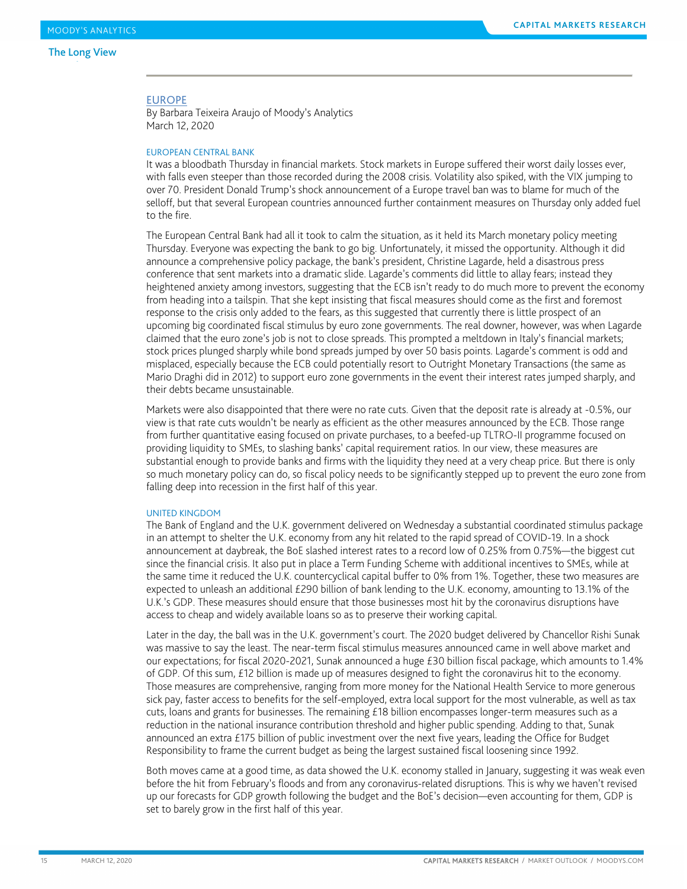#### The Long View de la construcción de la construcción de la construcción de la construcción de la construcción de la construcc

#### EUROPE

By Barbara Teixeira Araujo of Moody's Analytics March 12, 2020

#### EUROPEAN CENTRAL BANK

It was a bloodbath Thursday in financial markets. Stock markets in Europe suffered their worst daily losses ever, with falls even steeper than those recorded during the 2008 crisis. Volatility also spiked, with the VIX jumping to over 70. President Donald Trump's shock announcement of a Europe travel ban was to blame for much of the selloff, but that several European countries announced further containment measures on Thursday only added fuel to the fire.

The European Central Bank had all it took to calm the situation, as it held its March monetary policy meeting Thursday. Everyone was expecting the bank to go big. Unfortunately, it missed the opportunity. Although it did announce a comprehensive policy package, the bank's president, Christine Lagarde, held a disastrous press conference that sent markets into a dramatic slide. Lagarde's comments did little to allay fears; instead they heightened anxiety among investors, suggesting that the ECB isn't ready to do much more to prevent the economy from heading into a tailspin. That she kept insisting that fiscal measures should come as the first and foremost response to the crisis only added to the fears, as this suggested that currently there is little prospect of an upcoming big coordinated fiscal stimulus by euro zone governments. The real downer, however, was when Lagarde claimed that the euro zone's job is not to close spreads. This prompted a meltdown in Italy's financial markets; stock prices plunged sharply while bond spreads jumped by over 50 basis points. Lagarde's comment is odd and misplaced, especially because the ECB could potentially resort to Outright Monetary Transactions (the same as Mario Draghi did in 2012) to support euro zone governments in the event their interest rates jumped sharply, and their debts became unsustainable.

Markets were also disappointed that there were no rate cuts. Given that the deposit rate is already at -0.5%, our view is that rate cuts wouldn't be nearly as efficient as the other measures announced by the ECB. Those range from further quantitative easing focused on private purchases, to a beefed-up TLTRO-II programme focused on providing liquidity to SMEs, to slashing banks' capital requirement ratios. In our view, these measures are substantial enough to provide banks and firms with the liquidity they need at a very cheap price. But there is only so much monetary policy can do, so fiscal policy needs to be significantly stepped up to prevent the euro zone from falling deep into recession in the first half of this year.

#### UNITED KINGDOM

The Bank of England and the U.K. government delivered on Wednesday a substantial coordinated stimulus package in an attempt to shelter the U.K. economy from any hit related to the rapid spread of COVID-19. In a shock announcement at daybreak, the BoE slashed interest rates to a record low of 0.25% from 0.75%—the biggest cut since the financial crisis. It also put in place a Term Funding Scheme with additional incentives to SMEs, while at the same time it reduced the U.K. countercyclical capital buffer to 0% from 1%. Together, these two measures are expected to unleash an additional £290 billion of bank lending to the U.K. economy, amounting to 13.1% of the U.K.'s GDP. These measures should ensure that those businesses most hit by the coronavirus disruptions have access to cheap and widely available loans so as to preserve their working capital.

Later in the day, the ball was in the U.K. government's court. The 2020 budget delivered by Chancellor Rishi Sunak was massive to say the least. The near-term fiscal stimulus measures announced came in well above market and our expectations; for fiscal 2020-2021, Sunak announced a huge £30 billion fiscal package, which amounts to 1.4% of GDP. Of this sum, £12 billion is made up of measures designed to fight the coronavirus hit to the economy. Those measures are comprehensive, ranging from more money for the National Health Service to more generous sick pay, faster access to benefits for the self-employed, extra local support for the most vulnerable, as well as tax cuts, loans and grants for businesses. The remaining £18 billion encompasses longer-term measures such as a reduction in the national insurance contribution threshold and higher public spending. Adding to that, Sunak announced an extra £175 billion of public investment over the next five years, leading the Office for Budget Responsibility to frame the current budget as being the largest sustained fiscal loosening since 1992.

Both moves came at a good time, as data showed the U.K. economy stalled in January, suggesting it was weak even before the hit from February's floods and from any coronavirus-related disruptions. This is why we haven't revised up our forecasts for GDP growth following the budget and the BoE's decision—even accounting for them, GDP is set to barely grow in the first half of this year.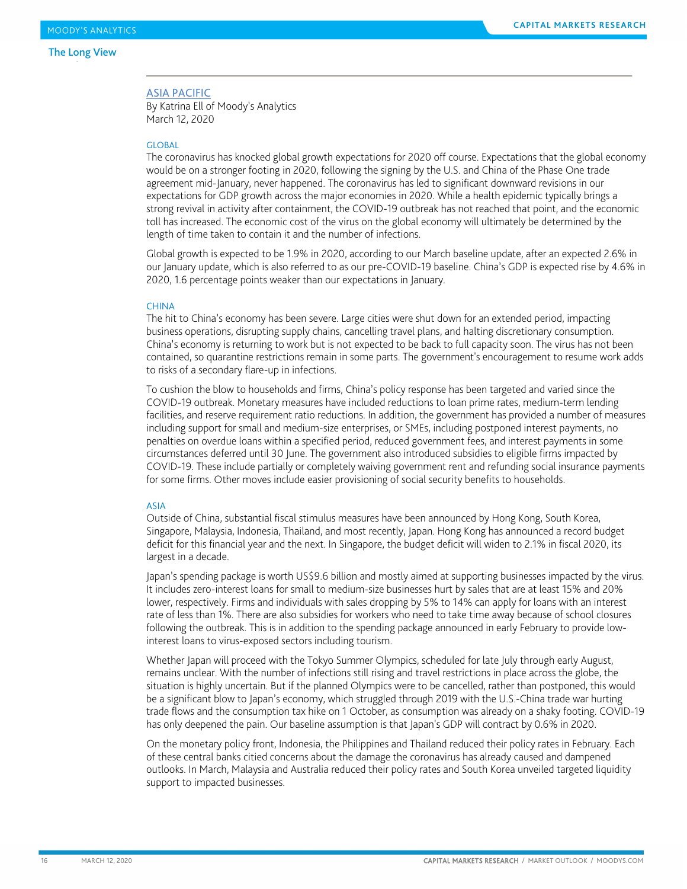#### The Long View de la construcción de la construcción de la construcción de la construcción de la construcción de la construcc

#### ASIA PACIFIC

By Katrina Ell of Moody's Analytics March 12, 2020

#### **GLOBAL**

The coronavirus has knocked global growth expectations for 2020 off course. Expectations that the global economy would be on a stronger footing in 2020, following the signing by the U.S. and China of the Phase One trade agreement mid-January, never happened. The coronavirus has led to significant downward revisions in our expectations for GDP growth across the major economies in 2020. While a health epidemic typically brings a strong revival in activity after containment, the COVID-19 outbreak has not reached that point, and the economic toll has increased. The economic cost of the virus on the global economy will ultimately be determined by the length of time taken to contain it and the number of infections.

Global growth is expected to be 1.9% in 2020, according to our March baseline update, after an expected 2.6% in our January update, which is also referred to as our pre-COVID-19 baseline. China's GDP is expected rise by 4.6% in 2020, 1.6 percentage points weaker than our expectations in January.

#### **CHINA**

The hit to China's economy has been severe. Large cities were shut down for an extended period, impacting business operations, disrupting supply chains, cancelling travel plans, and halting discretionary consumption. China's economy is returning to work but is not expected to be back to full capacity soon. The virus has not been contained, so quarantine restrictions remain in some parts. The government's encouragement to resume work adds to risks of a secondary flare-up in infections.

To cushion the blow to households and firms, China's policy response has been targeted and varied since the COVID-19 outbreak. Monetary measures have included reductions to loan prime rates, medium-term lending facilities, and reserve requirement ratio reductions. In addition, the government has provided a number of measures including support for small and medium-size enterprises, or SMEs, including postponed interest payments, no penalties on overdue loans within a specified period, reduced government fees, and interest payments in some circumstances deferred until 30 June. The government also introduced subsidies to eligible firms impacted by COVID-19. These include partially or completely waiving government rent and refunding social insurance payments for some firms. Other moves include easier provisioning of social security benefits to households.

#### ASIA

Outside of China, substantial fiscal stimulus measures have been announced by Hong Kong, South Korea, Singapore, Malaysia, Indonesia, Thailand, and most recently, Japan. Hong Kong has announced a record budget deficit for this financial year and the next. In Singapore, the budget deficit will widen to 2.1% in fiscal 2020, its largest in a decade.

Japan's spending package is worth US\$9.6 billion and mostly aimed at supporting businesses impacted by the virus. It includes zero-interest loans for small to medium-size businesses hurt by sales that are at least 15% and 20% lower, respectively. Firms and individuals with sales dropping by 5% to 14% can apply for loans with an interest rate of less than 1%. There are also subsidies for workers who need to take time away because of school closures following the outbreak. This is in addition to the spending package announced in early February to provide lowinterest loans to virus-exposed sectors including tourism.

Whether Japan will proceed with the Tokyo Summer Olympics, scheduled for late July through early August, remains unclear. With the number of infections still rising and travel restrictions in place across the globe, the situation is highly uncertain. But if the planned Olympics were to be cancelled, rather than postponed, this would be a significant blow to Japan's economy, which struggled through 2019 with the U.S.-China trade war hurting trade flows and the consumption tax hike on 1 October, as consumption was already on a shaky footing. COVID-19 has only deepened the pain. Our baseline assumption is that Japan's GDP will contract by 0.6% in 2020.

On the monetary policy front, Indonesia, the Philippines and Thailand reduced their policy rates in February. Each of these central banks citied concerns about the damage the coronavirus has already caused and dampened outlooks. In March, Malaysia and Australia reduced their policy rates and South Korea unveiled targeted liquidity support to impacted businesses.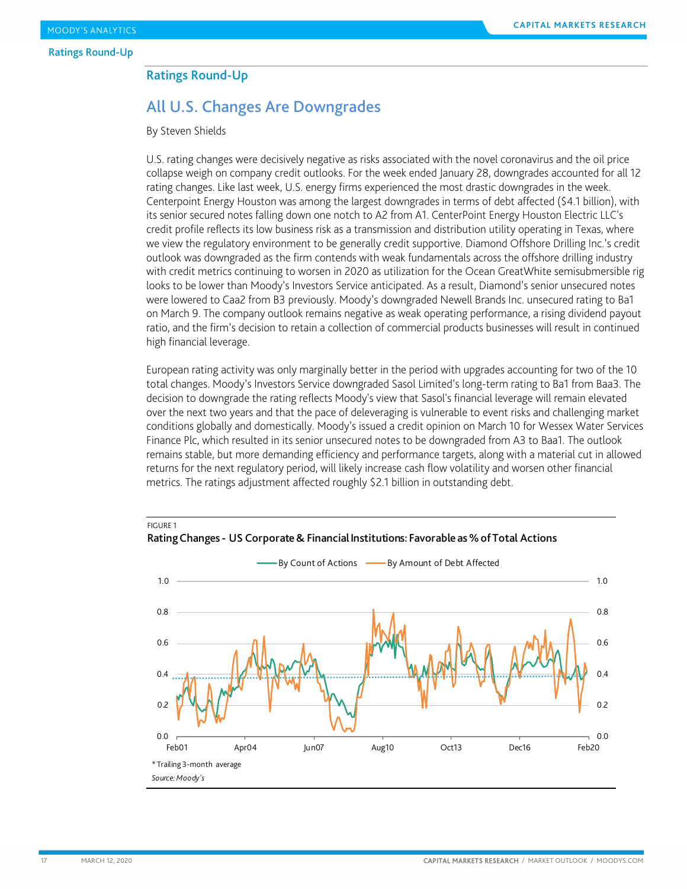### <span id="page-16-0"></span>Ratings Round-Up

### All U.S. Changes Are Downgrades

By Steven Shields

FIGURE 1

U.S. rating changes were decisively negative as risks associated with the novel coronavirus and the oil price collapse weigh on company credit outlooks. For the week ended January 28, downgrades accounted for all 12 rating changes. Like last week, U.S. energy firms experienced the most drastic downgrades in the week. Centerpoint Energy Houston was among the largest downgrades in terms of debt affected (\$4.1 billion), with its senior secured notes falling down one notch to A2 from A1. CenterPoint Energy Houston Electric LLC's credit profile reflects its low business risk as a transmission and distribution utility operating in Texas, where we view the regulatory environment to be generally credit supportive. Diamond Offshore Drilling Inc.'s credit outlook was downgraded as the firm contends with weak fundamentals across the offshore drilling industry with credit metrics continuing to worsen in 2020 as utilization for the Ocean GreatWhite semisubmersible rig looks to be lower than Moody's Investors Service anticipated. As a result, Diamond's senior unsecured notes were lowered to Caa2 from B3 previously. Moody's downgraded Newell Brands Inc. unsecured rating to Ba1 on March 9. The company outlook remains negative as weak operating performance, a rising dividend payout ratio, and the firm's decision to retain a collection of commercial products businesses will result in continued high financial leverage.

European rating activity was only marginally better in the period with upgrades accounting for two of the 10 total changes. Moody's Investors Service downgraded Sasol Limited's long-term rating to Ba1 from Baa3. The decision to downgrade the rating reflects Moody's view that Sasol's financial leverage will remain elevated over the next two years and that the pace of deleveraging is vulnerable to event risks and challenging market conditions globally and domestically. Moody's issued a credit opinion on March 10 for Wessex Water Services Finance Plc, which resulted in its senior unsecured notes to be downgraded from A3 to Baa1. The outlook remains stable, but more demanding efficiency and performance targets, along with a material cut in allowed returns for the next regulatory period, will likely increase cash flow volatility and worsen other financial metrics. The ratings adjustment affected roughly \$2.1 billion in outstanding debt.



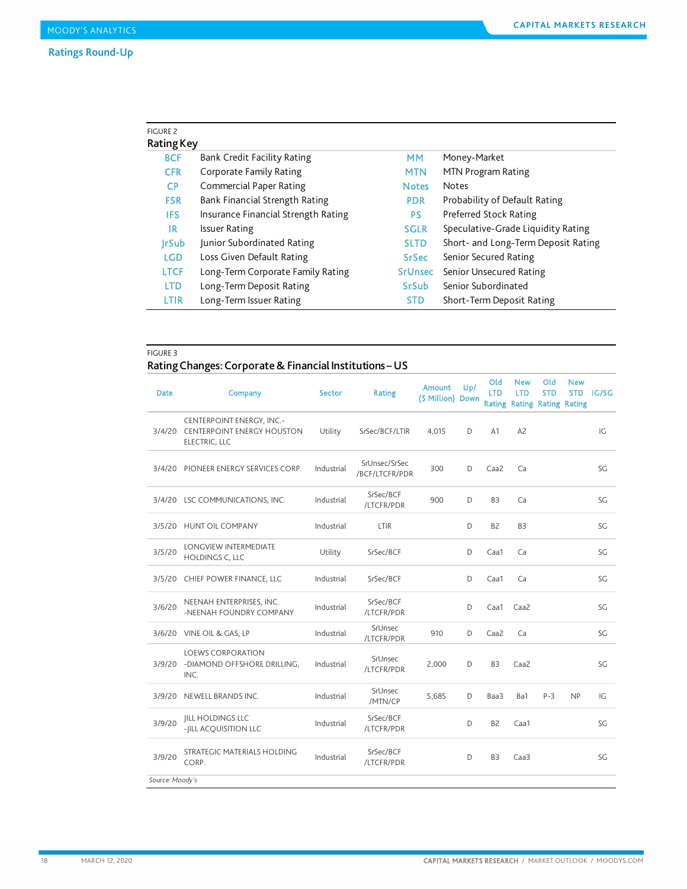### Ratings Round-Up

| <b>FIGURE 2</b><br>Rating Key |                                     |                |                                     |
|-------------------------------|-------------------------------------|----------------|-------------------------------------|
| <b>BCF</b>                    | Bank Credit Facility Rating         | MМ             | Money-Market                        |
| <b>CFR</b>                    | Corporate Family Rating             | <b>MTN</b>     | MTN Program Rating                  |
| CP.                           | <b>Commercial Paper Rating</b>      | <b>Notes</b>   | <b>Notes</b>                        |
| <b>FSR</b>                    | Bank Financial Strength Rating      | <b>PDR</b>     | Probability of Default Rating       |
| <b>IFS</b>                    | Insurance Financial Strength Rating | <b>PS</b>      | Preferred Stock Rating              |
| IR.                           | <b>Issuer Rating</b>                | <b>SGLR</b>    | Speculative-Grade Liquidity Rating  |
| <b>IrSub</b>                  | Junior Subordinated Rating          | <b>SLTD</b>    | Short- and Long-Term Deposit Rating |
| <b>LGD</b>                    | Loss Given Default Rating           | <b>SrSec</b>   | Senior Secured Rating               |
| <b>LTCF</b>                   | Long-Term Corporate Family Rating   | <b>SrUnsec</b> | Senior Unsecured Rating             |
| <b>LTD</b>                    | Long-Term Deposit Rating            | <b>SrSub</b>   | Senior Subordinated                 |
| LTIR                          | Long-Term Issuer Rating             | <b>STD</b>     | Short-Term Deposit Rating           |

#### FIGURE 3

### Rating Changes: Corporate & Financial Institutions –US

| <b>Date</b>     | Company                                                                         | <b>Sector</b> | <b>Rating</b>                   | Amount<br>(\$ Million) Down | U <sub>p</sub> / | Old<br><b>LTD</b> | <b>New</b><br><b>LTD</b> | Old<br><b>STD</b><br><b>Rating Rating Rating Rating</b> | <b>New</b><br><b>STD</b> | <b>IG/SG</b> |
|-----------------|---------------------------------------------------------------------------------|---------------|---------------------------------|-----------------------------|------------------|-------------------|--------------------------|---------------------------------------------------------|--------------------------|--------------|
|                 | CENTERPOINT ENERGY, INC.-<br>3/4/20 CENTERPOINT ENERGY HOUSTON<br>ELECTRIC, LLC | Utility       | SrSec/BCF/LTIR                  | 4,015                       | D                | A1                | A <sub>2</sub>           |                                                         |                          | IG           |
| 3/4/20          | PIONEER ENERGY SERVICES CORP.                                                   | Industrial    | SrUnsec/SrSec<br>/BCF/LTCFR/PDR | 300                         | D                | Caa <sub>2</sub>  | Ca                       |                                                         |                          | SG           |
|                 | 3/4/20 LSC COMMUNICATIONS, INC.                                                 | Industrial    | SrSec/BCF<br>/LTCFR/PDR         | 900                         | D                | B <sub>3</sub>    | Ca                       |                                                         |                          | SG           |
|                 | 3/5/20 HUNT OIL COMPANY                                                         | Industrial    | LTIR                            |                             | D                | B <sub>2</sub>    | B <sub>3</sub>           |                                                         |                          | SG           |
| 3/5/20          | LONGVIEW INTERMEDIATE<br><b>HOLDINGS C, LLC</b>                                 | Utility       | SrSec/BCF                       |                             | D                | Caa1              | Ca                       |                                                         |                          | SG           |
| 3/5/20          | CHIEF POWER FINANCE, LLC                                                        | Industrial    | SrSec/BCF                       |                             | D                | Caa1              | Ca                       |                                                         |                          | SG           |
| 3/6/20          | NEENAH ENTERPRISES, INC.<br>-NEENAH FOUNDRY COMPANY                             | Industrial    | SrSec/BCF<br>/LTCFR/PDR         |                             | D                | Caa1              | Caa <sub>2</sub>         |                                                         |                          | SG           |
|                 | 3/6/20 VINE OIL & GAS, LP                                                       | Industrial    | SrUnsec<br>/LTCFR/PDR           | 910                         | D                | Caa2              | Ca                       |                                                         |                          | SG           |
| 3/9/20          | <b>LOEWS CORPORATION</b><br>-DIAMOND OFFSHORE DRILLING,<br>INC.                 | Industrial    | SrUnsec<br>/LTCFR/PDR           | 2,000                       | D                | B <sub>3</sub>    | Caa <sub>2</sub>         |                                                         |                          | SG           |
| 3/9/20          | NEWELL BRANDS INC.                                                              | Industrial    | SrUnsec<br>/MTN/CP              | 5,685                       | D                | Baa3              | Ba1                      | $P-3$                                                   | NP                       | IG           |
| 3/9/20          | <b>IILL HOLDINGS LLC</b><br>-JILL ACQUISITION LLC                               | Industrial    | SrSec/BCF<br>/LTCFR/PDR         |                             | D                | B <sub>2</sub>    | Caa1                     |                                                         |                          | SG           |
| 3/9/20          | STRATEGIC MATERIALS HOLDING<br>CORP.                                            | Industrial    | SrSec/BCF<br>/LTCFR/PDR         |                             | D                | B <sub>3</sub>    | Caa3                     |                                                         |                          | SG           |
| Source: Moody's |                                                                                 |               |                                 |                             |                  |                   |                          |                                                         |                          |              |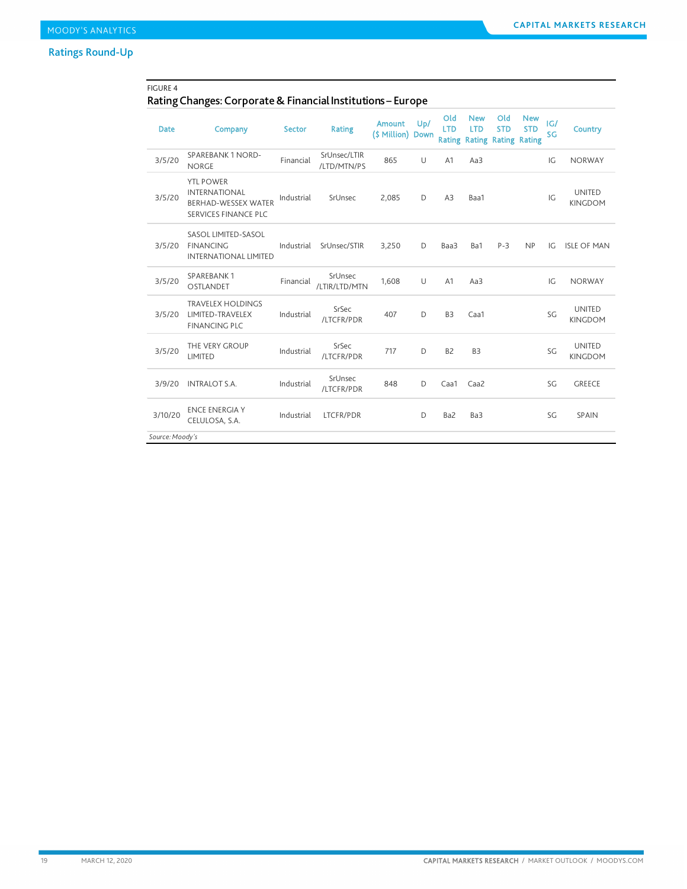### Ratings Round-Up

### FIGURE 4 Rating Changes: Corporate & Financial Institutions – Europe

| <b>Date</b>                | Company                                                                                               | <b>Sector</b> | <b>Rating</b>               | <b>Amount</b><br>(\$ Million) Down | Up/ | Old<br><b>LTD</b> | <b>New</b><br><b>LTD</b><br><b>Rating Rating Rating Rating</b> | Old<br><b>STD</b> | <b>New</b><br><b>STD</b> | G <br>SG | <b>Country</b>                  |
|----------------------------|-------------------------------------------------------------------------------------------------------|---------------|-----------------------------|------------------------------------|-----|-------------------|----------------------------------------------------------------|-------------------|--------------------------|----------|---------------------------------|
| 3/5/20                     | <b>SPAREBANK 1 NORD-</b><br><b>NORGE</b>                                                              | Financial     | SrUnsec/LTIR<br>/LTD/MTN/PS | 865                                | U   | A <sub>1</sub>    | Aa3                                                            |                   |                          | IG       | <b>NORWAY</b>                   |
| 3/5/20                     | <b>YTL POWER</b><br><b>INTERNATIONAL</b><br><b>BERHAD-WESSEX WATER</b><br><b>SERVICES FINANCE PLC</b> | Industrial    | SrUnsec                     | 2,085                              | D   | A3                | Baa1                                                           |                   |                          | IG       | <b>UNITED</b><br><b>KINGDOM</b> |
| 3/5/20                     | SASOL LIMITED-SASOL<br><b>FINANCING</b><br><b>INTERNATIONAL LIMITED</b>                               | Industrial    | SrUnsec/STIR                | 3,250                              | D   | Baa3              | Ba1                                                            | $P-3$             | NP                       | IG       | <b>ISLE OF MAN</b>              |
| 3/5/20                     | <b>SPAREBANK1</b><br>OSTLANDET                                                                        | Financial     | SrUnsec<br>/LTIR/LTD/MTN    | 1,608                              | U   | A <sub>1</sub>    | Aa3                                                            |                   |                          | IG       | <b>NORWAY</b>                   |
| 3/5/20                     | <b>TRAVELEX HOLDINGS</b><br>LIMITED-TRAVELEX<br><b>FINANCING PLC</b>                                  | Industrial    | SrSec<br>/LTCFR/PDR         | 407                                | D   | B <sub>3</sub>    | Caa1                                                           |                   |                          | SG       | <b>UNITED</b><br><b>KINGDOM</b> |
| 3/5/20                     | THE VERY GROUP<br>LIMITED                                                                             | Industrial    | SrSec<br>/LTCFR/PDR         | 717                                | D   | B <sub>2</sub>    | B <sub>3</sub>                                                 |                   |                          | SG       | <b>UNITED</b><br><b>KINGDOM</b> |
| 3/9/20                     | <b>INTRALOT S.A.</b>                                                                                  | Industrial    | SrUnsec<br>/LTCFR/PDR       | 848                                | D   | Caa1              | Caa2                                                           |                   |                          | SG       | <b>GREECE</b>                   |
| 3/10/20<br>Source: Moody's | <b>ENCE ENERGIA Y</b><br>CELULOSA, S.A.                                                               | Industrial    | <b>LTCFR/PDR</b>            |                                    | D   | Ba2               | Ba3                                                            |                   |                          | SG       | SPAIN                           |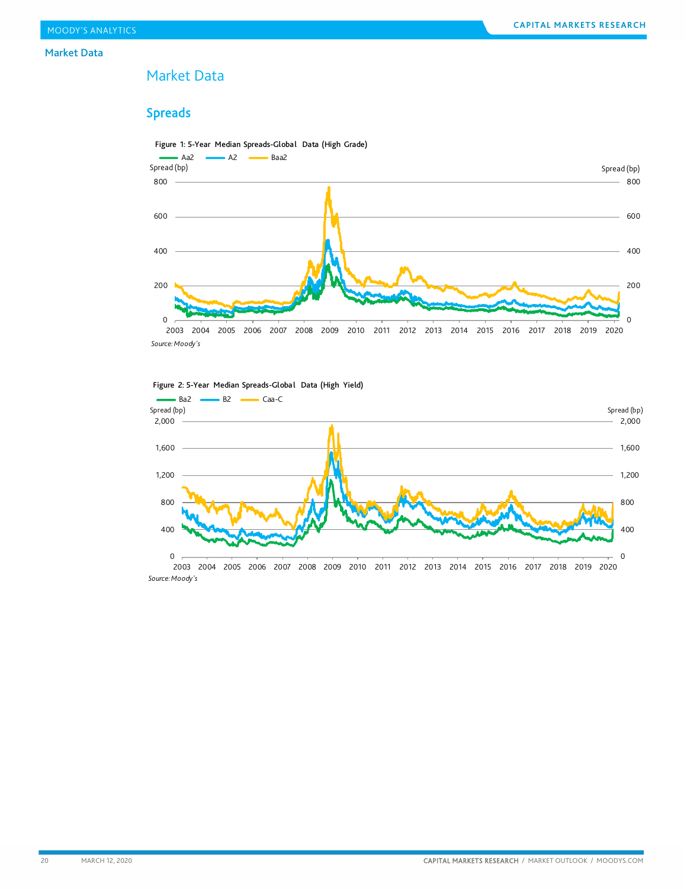#### Market Data

### <span id="page-19-0"></span>Market Data

### Spreads





Figure 2: 5-Year Median Spreads-Global Data (High Yield)

2003 2004 2005 2006 2007 2008 2009 2010 2011 2012 2013 2014 2015 2016 2017 2018 2019 2020 *Source: Moody's*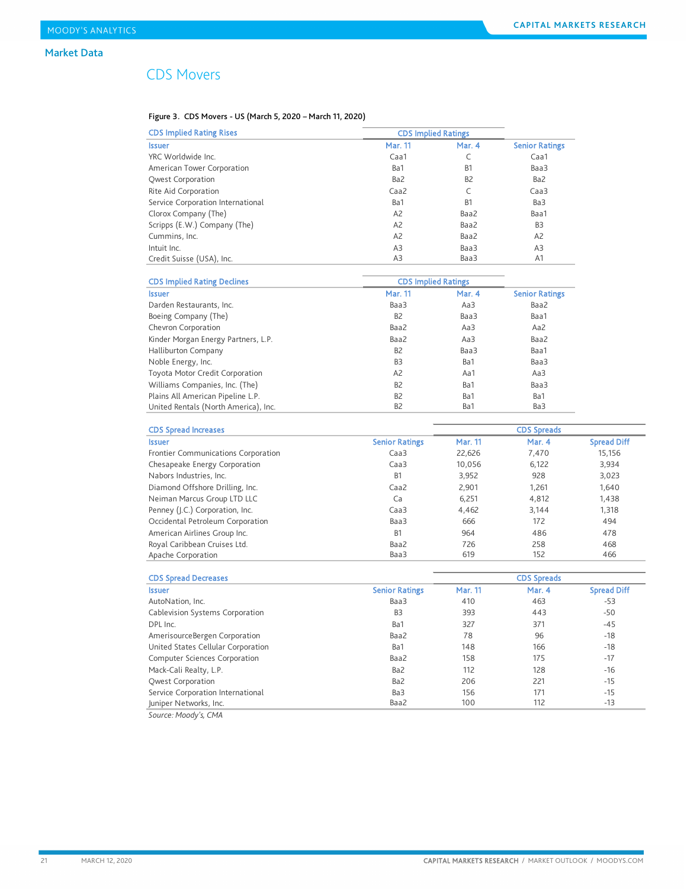### CDS Movers

### Figure 3. CDS Movers - US (March 5, 2020 – March 11, 2020)

| <b>CDS Implied Rating Rises</b>   | <b>CDS Implied Ratings</b> |                |                       |
|-----------------------------------|----------------------------|----------------|-----------------------|
| <b>Issuer</b>                     | Mar. 11                    | Mar. 4         | <b>Senior Ratings</b> |
| YRC Worldwide Inc.                | Caa1                       |                | Caa1                  |
| American Tower Corporation        | Ba1                        | B <sub>1</sub> | Baa3                  |
| Qwest Corporation                 | Ba2                        | B <sub>2</sub> | Ba2                   |
| Rite Aid Corporation              | Caa2                       |                | Caa <sub>3</sub>      |
| Service Corporation International | Ba1                        | B <sub>1</sub> | Ba3                   |
| Clorox Company (The)              | A <sub>2</sub>             | Baa2           | Baa1                  |
| Scripps (E.W.) Company (The)      | A <sub>2</sub>             | Baa2           | B <sub>3</sub>        |
| Cummins, Inc.                     | A <sub>2</sub>             | Baa2           | A <sub>2</sub>        |
| Intuit Inc.                       | A3                         | Baa3           | A3                    |
| Credit Suisse (USA), Inc.         | A3                         | Baa3           | A <sub>1</sub>        |

| <b>CDS Implied Rating Declines</b>   | <b>CDS Implied Ratings</b> |        |                       |
|--------------------------------------|----------------------------|--------|-----------------------|
| <b>Issuer</b>                        | <b>Mar. 11</b>             | Mar. 4 | <b>Senior Ratings</b> |
| Darden Restaurants, Inc.             | Baa3                       | Aa3    | Baa2                  |
| Boeing Company (The)                 | B <sub>2</sub>             | Baa3   | Baa1                  |
| Chevron Corporation                  | Baa2                       | Aa3    | Aa2                   |
| Kinder Morgan Energy Partners, L.P.  | Baa2                       | Aa3    | Baa2                  |
| Halliburton Company                  | B <sub>2</sub>             | Baa3   | Baa1                  |
| Noble Energy, Inc.                   | B <sub>3</sub>             | Ba1    | Baa3                  |
| Toyota Motor Credit Corporation      | A <sub>2</sub>             | Aa1    | Aa3                   |
| Williams Companies, Inc. (The)       | B <sub>2</sub>             | Ba1    | Baa3                  |
| Plains All American Pipeline L.P.    | B <sub>2</sub>             | Ba1    | Ba1                   |
| United Rentals (North America), Inc. | B <sub>2</sub>             | Ba1    | Ba3                   |

| <b>CDS Spread Increases</b>         |                       |                | <b>CDS Spreads</b> |                    |
|-------------------------------------|-----------------------|----------------|--------------------|--------------------|
| <b>Issuer</b>                       | <b>Senior Ratings</b> | <b>Mar. 11</b> | Mar. 4             | <b>Spread Diff</b> |
| Frontier Communications Corporation | Caa <sub>3</sub>      | 22,626         | 7,470              | 15,156             |
| Chesapeake Energy Corporation       | Caa <sub>3</sub>      | 10,056         | 6,122              | 3,934              |
| Nabors Industries, Inc.             | B <sub>1</sub>        | 3,952          | 928                | 3,023              |
| Diamond Offshore Drilling, Inc.     | Caa2                  | 2.901          | 1,261              | 1,640              |
| Neiman Marcus Group LTD LLC         | Ca                    | 6.251          | 4,812              | 1,438              |
| Penney (J.C.) Corporation, Inc.     | Caa <sub>3</sub>      | 4,462          | 3.144              | 1,318              |
| Occidental Petroleum Corporation    | Baa3                  | 666            | 172                | 494                |
| American Airlines Group Inc.        | <b>B1</b>             | 964            | 486                | 478                |
| Royal Caribbean Cruises Ltd.        | Baa2                  | 726            | 258                | 468                |
| Apache Corporation                  | Baa3                  | 619            | 152                | 466                |

| <b>CDS Spread Decreases</b>        |                       |         | <b>CDS Spreads</b> |                    |
|------------------------------------|-----------------------|---------|--------------------|--------------------|
| <b>Issuer</b>                      | <b>Senior Ratings</b> | Mar. 11 | Mar. 4             | <b>Spread Diff</b> |
| AutoNation, Inc.                   | Baa3                  | 410     | 463                | $-53$              |
| Cablevision Systems Corporation    | B <sub>3</sub>        | 393     | 443                | -50                |
| DPL Inc.                           | Ba1                   | 327     | 371                | $-45$              |
| AmerisourceBergen Corporation      | Baa2                  | 78      | 96                 | $-18$              |
| United States Cellular Corporation | Ba1                   | 148     | 166                | $-18$              |
| Computer Sciences Corporation      | Baa2                  | 158     | 175                | $-17$              |
| Mack-Cali Realty, L.P.             | Ba2                   | 112     | 128                | $-16$              |
| <b>Owest Corporation</b>           | Ba2                   | 206     | 221                | $-15$              |
| Service Corporation International  | Ba3                   | 156     | 171                | $-15$              |
| Juniper Networks, Inc.             | Baa2                  | 100     | 112                | $-13$              |
| Source: Moody's, CMA               |                       |         |                    |                    |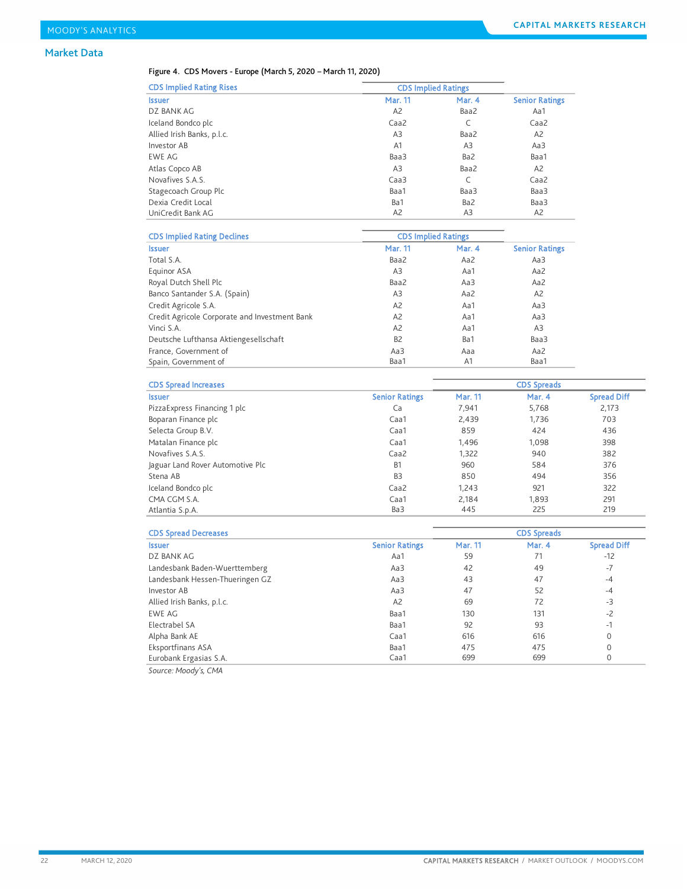### Market Data

#### Figure 4. CDS Movers - Europe (March 5, 2020 – March 11, 2020)

| <b>CDS Implied Rating Rises</b> | <b>CDS Implied Ratings</b> |                 |                       |
|---------------------------------|----------------------------|-----------------|-----------------------|
| <b>Issuer</b>                   | <b>Mar. 11</b>             | Mar. 4          | <b>Senior Ratings</b> |
| DZ BANK AG                      | A2                         | Baa2            | Aa1                   |
| Iceland Bondco plc              | Caa2                       | C               | Caa2                  |
| Allied Irish Banks, p.l.c.      | A3                         | Baa2            | A <sub>2</sub>        |
| Investor AB                     | A <sub>1</sub>             | A3              | Aa3                   |
| <b>EWE AG</b>                   | Baa3                       | Ba2             | Baa1                  |
| Atlas Copco AB                  | A3                         | Baa2            | A <sub>2</sub>        |
| Novafives S.A.S.                | Caa <sub>3</sub>           | C               | Caa2                  |
| Stagecoach Group Plc            | Baa1                       | Baa3            | Baa3                  |
| Dexia Credit Local              | Ba1                        | Ba <sub>2</sub> | Baa3                  |
| UniCredit Bank AG               | A <sub>2</sub>             | A3              | A <sub>2</sub>        |

| <b>CDS Implied Rating Declines</b>            | <b>CDS Implied Ratings</b> |        |                       |
|-----------------------------------------------|----------------------------|--------|-----------------------|
| <b>Issuer</b>                                 | <b>Mar. 11</b>             | Mar. 4 | <b>Senior Ratings</b> |
| Total S.A.                                    | Baa2                       | Aa2    | Aa3                   |
| Equinor ASA                                   | A3                         | Aa1    | Aa2                   |
| Royal Dutch Shell Plc                         | Baa2                       | Aa3    | Aa2                   |
| Banco Santander S.A. (Spain)                  | A3                         | Aa2    | A <sub>2</sub>        |
| Credit Agricole S.A.                          | A <sub>2</sub>             | Aa1    | Aa3                   |
| Credit Agricole Corporate and Investment Bank | A <sub>2</sub>             | Aa1    | Aa3                   |
| Vinci S.A.                                    | A <sub>2</sub>             | Aa1    | A <sub>3</sub>        |
| Deutsche Lufthansa Aktiengesellschaft         | B <sub>2</sub>             | Ba1    | Baa3                  |
| France, Government of                         | Aa3                        | Aaa    | Aa2                   |
| Spain, Government of                          | Baa1                       | A1     | Baa1                  |

| <b>CDS Spread Increases</b>      |                       | <b>CDS Spreads</b> |        |                    |
|----------------------------------|-----------------------|--------------------|--------|--------------------|
| <b>Issuer</b>                    | <b>Senior Ratings</b> | Mar. 11            | Mar. 4 | <b>Spread Diff</b> |
| Pizza Express Financing 1 plc    | Ca                    | 7,941              | 5,768  | 2,173              |
| Boparan Finance plc              | Caa1                  | 2,439              | 1,736  | 703                |
| Selecta Group B.V.               | Caa1                  | 859                | 424    | 436                |
| Matalan Finance plc              | Caa1                  | 1.496              | 1,098  | 398                |
| Novafives S.A.S.                 | Caa <sub>2</sub>      | 1,322              | 940    | 382                |
| laguar Land Rover Automotive Plc | <b>B1</b>             | 960                | 584    | 376                |
| Stena AB                         | B <sub>3</sub>        | 850                | 494    | 356                |
| Iceland Bondco plc               | Caa2                  | 1.243              | 921    | 322                |
| CMA CGM S.A.                     | Caa1                  | 2.184              | 1,893  | 291                |
| Atlantia S.p.A.                  | Ba3                   | 445                | 225    | 219                |

| <b>CDS Spread Decreases</b>     |                       | <b>CDS Spreads</b> |        |                    |
|---------------------------------|-----------------------|--------------------|--------|--------------------|
| <b>Issuer</b>                   | <b>Senior Ratings</b> | <b>Mar. 11</b>     | Mar. 4 | <b>Spread Diff</b> |
| DZ BANK AG                      | Aa1                   | 59                 | 71     | $-12$              |
| Landesbank Baden-Wuerttemberg   | Aa3                   | 42                 | 49     | $-7$               |
| Landesbank Hessen-Thueringen GZ | Aa3                   | 43                 | 47     | $-4$               |
| Investor AB                     | Aa3                   | 47                 | 52     | $-4$               |
| Allied Irish Banks, p.l.c.      | A <sub>2</sub>        | 69                 | 72     | $-3$               |
| EWE AG                          | Baa1                  | 130                | 131    | $-2$               |
| Electrabel SA                   | Baa1                  | 92                 | 93     | $-1$               |
| Alpha Bank AE                   | Caa1                  | 616                | 616    | 0                  |
| Eksportfinans ASA               | Baa1                  | 475                | 475    | $\Omega$           |
| Eurobank Ergasias S.A.          | Caa1                  | 699                | 699    |                    |

*Source: Moody's, CMA*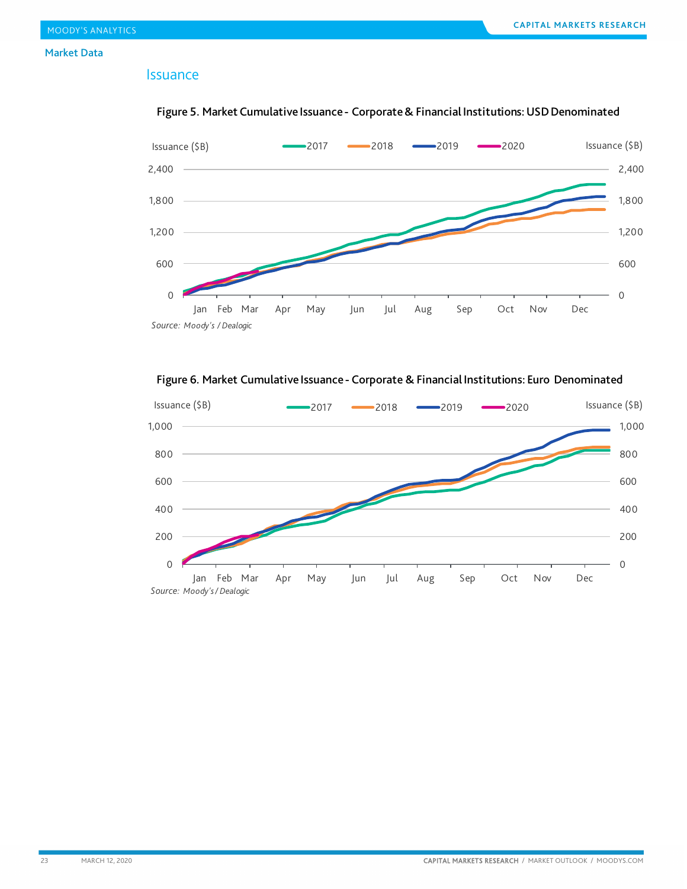#### Market Data

### Issuance



### Figure 5. Market Cumulative Issuance - Corporate & Financial Institutions: USD Denominated

Figure 6. Market Cumulative Issuance - Corporate & Financial Institutions: Euro Denominated

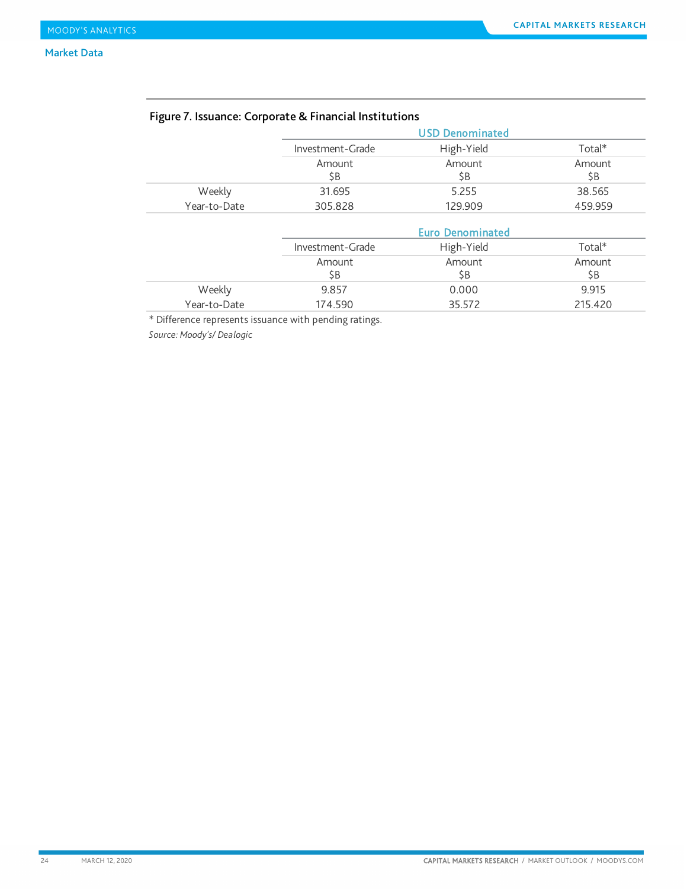|              |                  | <b>USD Denominated</b>  |          |
|--------------|------------------|-------------------------|----------|
|              | Investment-Grade | High-Yield              | Total*   |
|              | Amount           | Amount                  | Amount   |
|              | \$B              | \$Β                     | \$B      |
| Weekly       | 31.695           | 5.255                   | 38.565   |
| Year-to-Date | 305.828          | 129.909                 | 459.959  |
|              |                  | <b>Euro Denominated</b> |          |
|              | Investment-Grade | High-Yield              | $Total*$ |
|              | Amount           | Amount                  | Amount   |
|              | \$B              | \$Β                     | \$B      |
| Weekly       | 9.857            | 0.000                   | 9.915    |
| Year-to-Date | 174.590          | 35.572                  | 215.420  |

### Figure 7. Issuance: Corporate & Financial Institutions

\* Difference represents issuance with pending ratings.

*Source: Moody's/ Dealogic*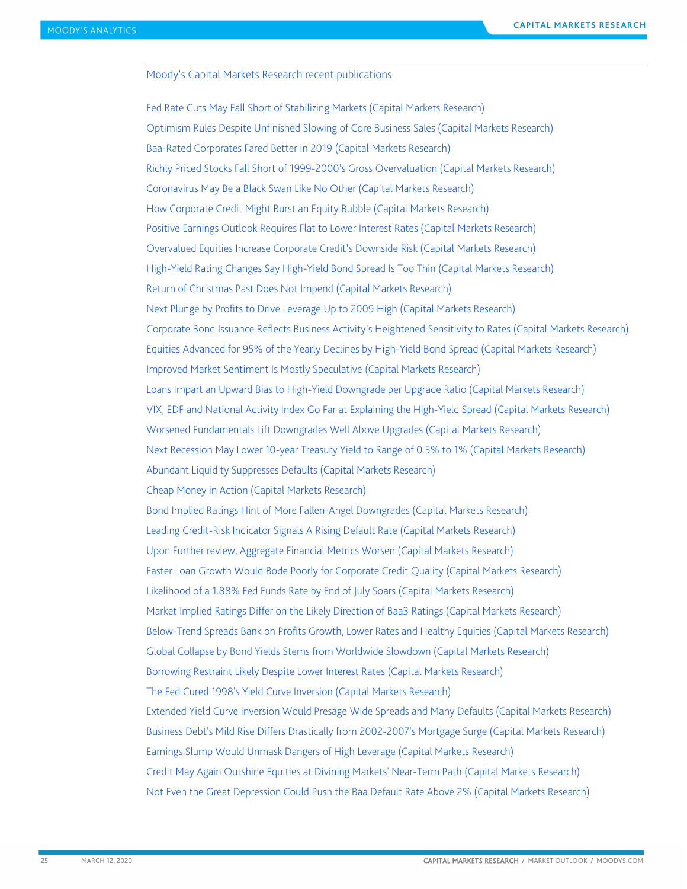<span id="page-24-0"></span>Moody's Capital Markets Research recent publications

[Fed Rate Cuts May Fall Short of Stabilizing Markets \(Capital Markets Research\)](http://www.moodys.com/researchdocumentcontentpage.aspx?docid=PBC_1216475) [Optimism Rules Despite Unfinished Slowing of Core Business Sales \(Capital Markets Research\)](http://www.moodys.com/researchdocumentcontentpage.aspx?docid=PBC_1215556) [Baa-Rated Corporates Fared Better in 2019 \(Capital Markets Research\)](http://www.moodys.com/researchdocumentcontentpage.aspx?docid=PBC_1214577) [Richly Priced Stocks Fall Short of 1999-2000's Gross Overvaluation \(Capital Markets Research\)](http://www.moodys.com/researchdocumentcontentpage.aspx?docid=PBC_1213737) [Coronavirus May Be a Black Swan Like No Other \(Capital Markets Research\)](http://www.moodys.com/researchdocumentcontentpage.aspx?docid=PBC_1212580) [How Corporate Credit Might Burst an Equity Bubble \(Capital Markets Research\)](http://www.moodys.com/researchdocumentcontentpage.aspx?docid=PBC_1211724) [Positive Earnings Outlook Requires Flat to Lower Interest Rates \(Capital Markets Research\)](http://www.moodys.com/researchdocumentcontentpage.aspx?docid=PBC_1210744) [Overvalued Equities Increase Corporate Credit's Downside Risk \(Capital Markets Research\)](http://www.moodys.com/researchdocumentcontentpage.aspx?docid=PBC_1209866) [High-Yield Rating Changes Say High-Yield Bond Spread Is Too Thin \(Capital Markets Research\)](http://www.moodys.com/researchdocumentcontentpage.aspx?docid=PBC_1208173) [Return of Christmas Past Does Not Impend \(Capital Markets Research\)](http://www.moodys.com/researchdocumentcontentpage.aspx?docid=PBC_1206534) [Next Plunge by Profits to Drive Leverage Up to 2009 High \(Capital Markets Research\)](http://www.moodys.com/researchdocumentcontentpage.aspx?docid=PBC_1204395) Corporate Bond Issuance Reflects Business [Activity's Heightened Sensitivity to Rates \(Capital Markets Research\)](http://www.moodys.com/researchdocumentcontentpage.aspx?docid=PBC_1203100) [Equities Advanced for 95% of the Yearly Declines by High-Yield Bond Spread \(Capital Markets Research\)](http://www.moodys.com/researchdocumentcontentpage.aspx?docid=PBC_1202276) [Improved Market Sentiment Is Mostly Speculative \(Capital Markets Research\)](http://www.moodys.com/researchdocumentcontentpage.aspx?docid=PBC_1201368) Loans Impart an Upward Bias to High-Yield Downgrade per Upgrade Ratio (Capital Markets Research) [VIX, EDF and National Activity Index Go Far at Explaining the High-Yield Spread \(Capital Markets Research\)](http://www.moodys.com/researchdocumentcontentpage.aspx?docid=PBC_1199570) [Worsened Fundamentals Lift Downgrades Well Above Upgrades \(Capital Markets Research\)](http://www.moodys.com/researchdocumentcontentpage.aspx?docid=PBC_1198640) [Next Recession May Lower 10-year Treasury Yield to Range of 0.5% to 1% \(Capital Markets Research\)](http://www.moodys.com/researchdocumentcontentpage.aspx?docid=PBC_1197438) [Abundant Liquidity Suppresses Defaults \(Capital Markets Research\)](http://www.moodys.com/researchdocumentcontentpage.aspx?docid=PBC_1196531) [Cheap Money in Action \(Capital Markets Research\)](http://www.moodys.com/researchdocumentcontentpage.aspx?docid=PBC_1195387) [Bond Implied Ratings Hint of More Fallen-Angel Downgrades \(Capital Markets Research\)](http://www.moodys.com/researchdocumentcontentpage.aspx?docid=PBC_1194625) [Leading Credit-Risk Indicator Signals A Rising Default Rate \(Capital Markets Research\)](http://www.moodys.com/viewresearchdoc.aspx?docid=PBC_1193539&WT.mc_id=MDCAlerts_realtime%7Eaf897351-3c32-49d9-8b68-f4e87b62d441) [Upon Further review, Aggregate Financial Metrics Worsen \(Capital Markets Research\)](http://www.moodys.com/researchdocumentcontentpage.aspx?docid=PBC_1192451) [Faster Loan Growth Would Bode Poorly for Corporate Credit Quality \(Capital Markets Research\)](https://www.moodys.com/researchdocumentcontentpage.aspx?docid=PBC_1187365) [Likelihood of a 1.88% Fed Funds Rate by End of July Soars \(Capital Markets Research\)](https://www.moodys.com/researchdocumentcontentpage.aspx?docid=PBC_1186287) Market Implied Ratings Differ on [the Likely Direction of Baa3 Ratings \(Capital Markets Research\)](https://www.moodys.com/researchdocumentcontentpage.aspx?docid=PBC_1185076) [Below-Trend Spreads Bank on Profits Growth, Lower Rates and Healthy Equities \(Capital Markets Research\)](https://www.moodys.com/researchdocumentcontentpage.aspx?docid=PBC_1183188) [Global Collapse by Bond Yields Stems from Worldwide Slowdown \(Capital Markets Research\)](https://www.moodys.com/researchdocumentcontentpage.aspx?docid=PBC_1182061) [Borrowing Restraint Likely Despite Lower Interest Rates \(Capital Markets Research\)](https://www.moodys.com/researchdocumentcontentpage.aspx?docid=PBC_1181000) [The Fed Cured 1998's Yield Curve Inversion \(Capital Markets Research\)](https://www.moodys.com/researchdocumentcontentpage.aspx?docid=PBC_1179647) [Extended Yield Curve Inversion Would Presage Wide Spreads and Many Defaults \(Capital Markets Research\)](https://www.moodys.com/researchdocumentcontentpage.aspx?docid=PBC_1178534) [Business Debt's Mild Rise Differs Drastically from 2002-2007's Mortgage Surge](https://www.moodys.com/researchdocumentcontentpage.aspx?docid=PBC_1177595) (Capital Markets Research) [Earnings Slump Would Unmask Dangers of High Leverage \(Capital Markets Research\)](https://www.moodys.com/researchdocumentcontentpage.aspx?docid=PBC_1176391) [Credit May Again Outshine Equities at Divining Markets' Near-Term Path \(Capital Markets Research\)](https://www.moodys.com/researchdocumentcontentpage.aspx?docid=PBC_1175285) [Not Even the Great Depression Could Push the Baa Default Rate Above 2% \(Capital Markets Research\)](https://www.moodys.com/researchdocumentcontentpage.aspx?docid=PBC_1173923)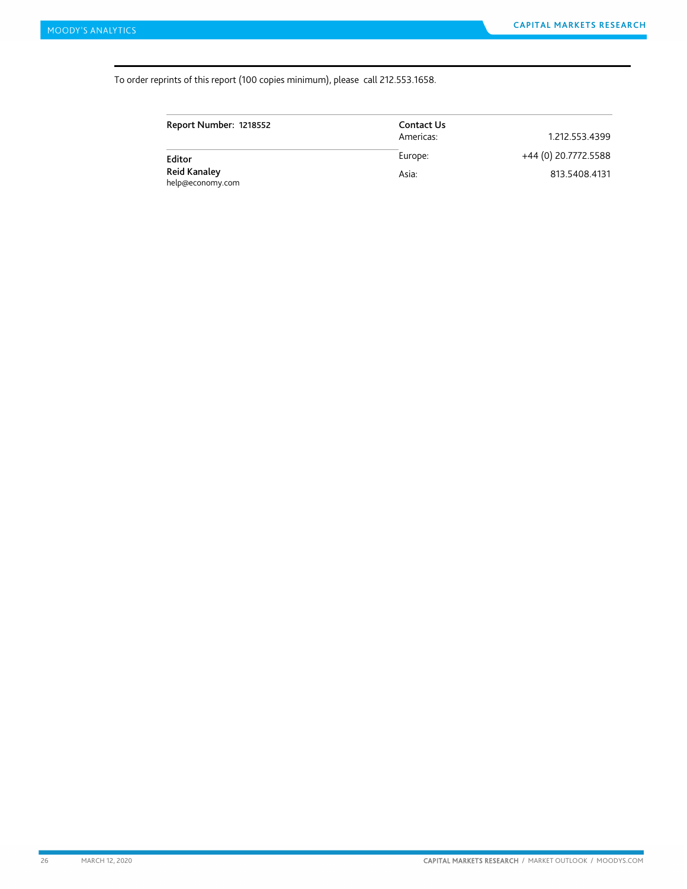#### To order reprints of this report (100 copies minimum), please call 212.553.1658.

| Report Number: 1218552           | Contact Us<br>Americas: | 1.212.553.4399       |
|----------------------------------|-------------------------|----------------------|
| Editor                           | Europe:                 | +44 (0) 20.7772.5588 |
| Reid Kanaley<br>help@economy.com | Asia:                   | 813.5408.4131        |